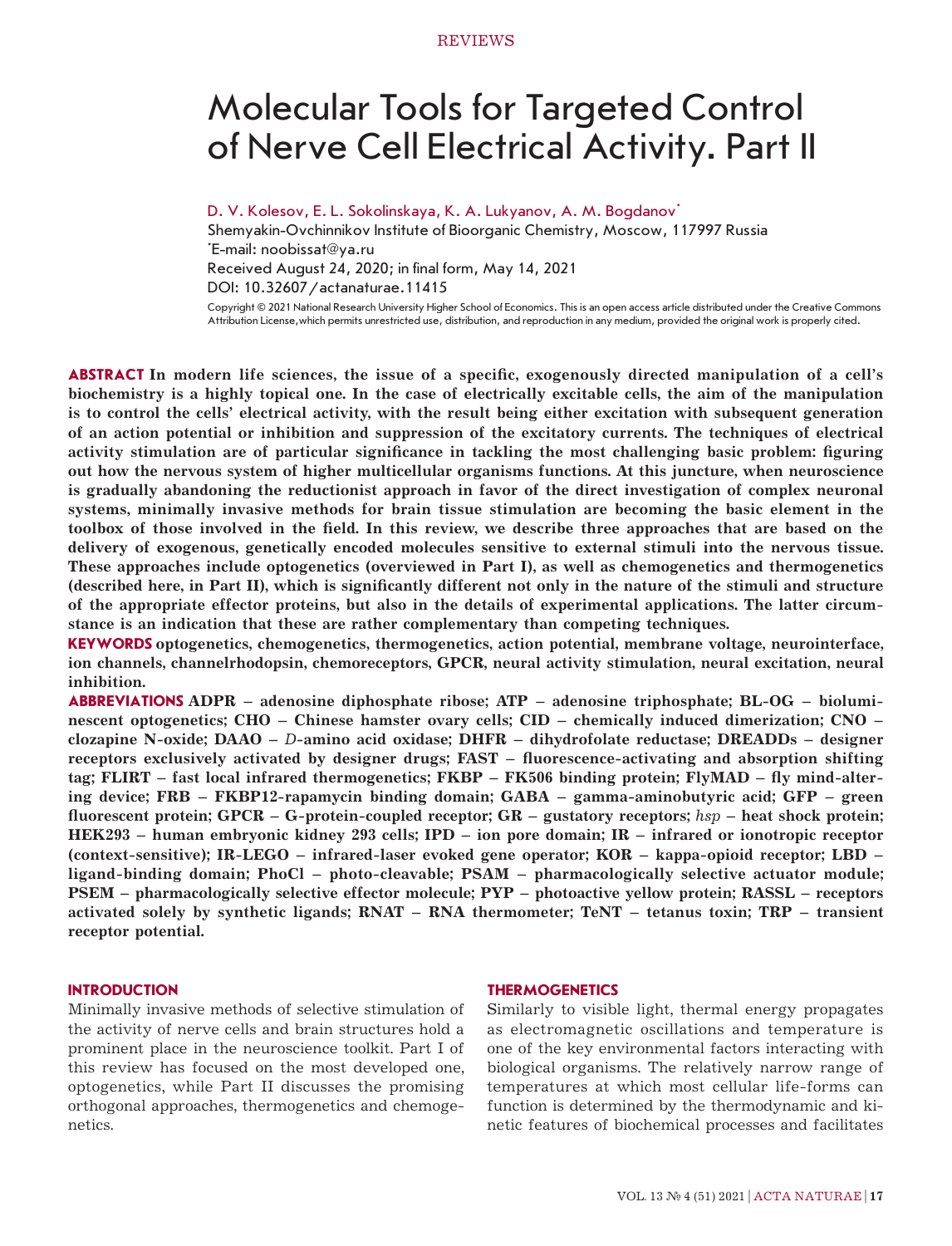# Molecular Tools for Targeted Control of Nerve Cell Electrical Activity. Part II

D. V. Kolesov, E. L. Sokolinskaya, K. A. Lukyanov, A. M. Bogdanov*\**

Shemyakin-Ovchinnikov Institute of Bioorganic Chemistry, Moscow, 117997 Russia \* E-mail: noobissat@ya.ru Received August 24, 2020; in final form, May 14, 2021 DOI: 10.32607/actanaturae.11415 Copyright © 2021 National Research University Higher School of Economics. This is an open access article distributed under the Creative Commons

Attribution License,which permits unrestricted use, distribution, and reproduction in any medium, provided the original work is properly cited.

**ABSTRACT In modern life sciences, the issue of a specific, exogenously directed manipulation of a cell's biochemistry is a highly topical one. In the case of electrically excitable cells, the aim of the manipulation is to control the cells' electrical activity, with the result being either excitation with subsequent generation of an action potential or inhibition and suppression of the excitatory currents. The techniques of electrical activity stimulation are of particular significance in tackling the most challenging basic problem: figuring out how the nervous system of higher multicellular organisms functions. At this juncture, when neuroscience is gradually abandoning the reductionist approach in favor of the direct investigation of complex neuronal systems, minimally invasive methods for brain tissue stimulation are becoming the basic element in the toolbox of those involved in the field. In this review, we describe three approaches that are based on the delivery of exogenous, genetically encoded molecules sensitive to external stimuli into the nervous tissue. These approaches include optogenetics (overviewed in Part I), as well as chemogenetics and thermogenetics (described here, in Part II), which is significantly different not only in the nature of the stimuli and structure of the appropriate effector proteins, but also in the details of experimental applications. The latter circumstance is an indication that these are rather complementary than competing techniques.**

**KEYWORDS optogenetics, chemogenetics, thermogenetics, action potential, membrane voltage, neurointerface, ion channels, channelrhodopsin, chemoreceptors, GPCR, neural activity stimulation, neural excitation, neural inhibition.**

**ABBREVIATIONS ADPR – adenosine diphosphate ribose; ATP – adenosine triphosphate; BL‐OG – bioluminescent optogenetics; CHO – Chinese hamster ovary cells; CID – chemically induced dimerization; CNO – clozapine N-oxide; DAAO –** *D***-amino acid oxidase; DHFR – dihydrofolate reductase; DREADDs – designer receptors exclusively activated by designer drugs; FAST – fluorescence-activating and absorption shifting tag; FLIRT – fast local infrared thermogenetics; FKBP – FK506 binding protein; FlyMAD – fly mind-altering device; FRB – FKBP12-rapamycin binding domain; GABA – gamma-aminobutyric acid; GFP – green fluorescent protein; GPCR – G-protein-coupled receptor; GR – gustatory receptors;** *hsp* **– heat shock protein; HEK293 – human embryonic kidney 293 cells; IPD – ion pore domain; IR – infrared or ionotropic receptor (context-sensitive); IR-LEGO – infrared-laser evoked gene operator; KOR – kappa-opioid receptor; LBD – ligand-binding domain; PhoCl – photo-cleavable; PSAM – pharmacologically selective actuator module; PSEM – pharmacologically selective effector molecule; PYP – photoactive yellow protein; RASSL – receptors activated solely by synthetic ligands; RNAT – RNA thermometer; TeNT – tetanus toxin; TRP – transient receptor potential.**

## **INTRODUCTION**

Minimally invasive methods of selective stimulation of the activity of nerve cells and brain structures hold a prominent place in the neuroscience toolkit. Part I of this review has focused on the most developed one, optogenetics, while Part II discusses the promising orthogonal approaches, thermogenetics and chemogenetics.

## **THERMOGENETICS**

Similarly to visible light, thermal energy propagates as electromagnetic oscillations and temperature is one of the key environmental factors interacting with biological organisms. The relatively narrow range of temperatures at which most cellular life-forms can function is determined by the thermodynamic and kinetic features of biochemical processes and facilitates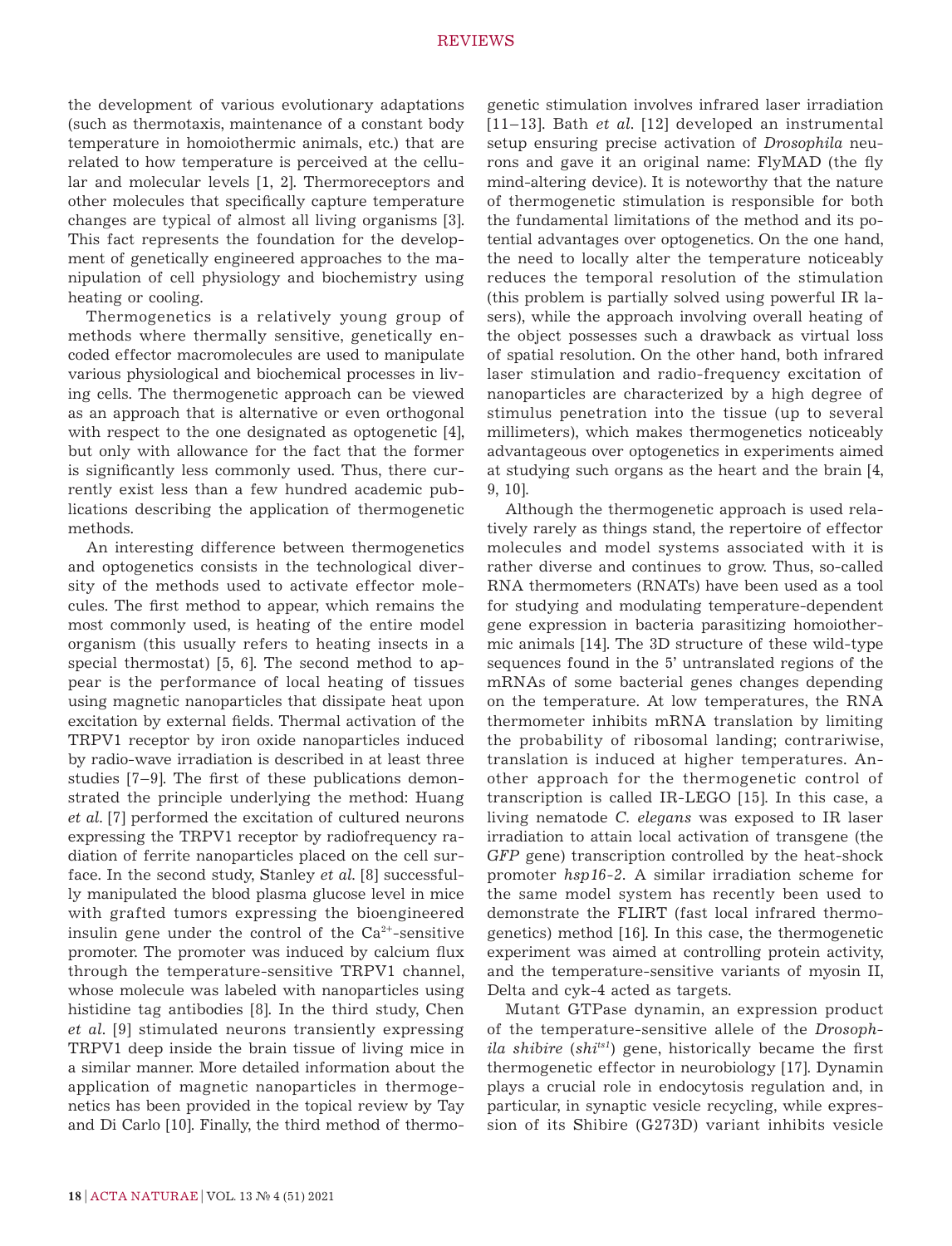the development of various evolutionary adaptations (such as thermotaxis, maintenance of a constant body temperature in homoiothermic animals, etc.) that are related to how temperature is perceived at the cellular and molecular levels [1, 2]. Thermoreceptors and other molecules that specifically capture temperature changes are typical of almost all living organisms [3]. This fact represents the foundation for the development of genetically engineered approaches to the manipulation of cell physiology and biochemistry using heating or cooling.

Thermogenetics is a relatively young group of methods where thermally sensitive, genetically encoded effector macromolecules are used to manipulate various physiological and biochemical processes in living cells. The thermogenetic approach can be viewed as an approach that is alternative or even orthogonal with respect to the one designated as optogenetic [4], but only with allowance for the fact that the former is significantly less commonly used. Thus, there currently exist less than a few hundred academic publications describing the application of thermogenetic methods.

An interesting difference between thermogenetics and optogenetics consists in the technological diversity of the methods used to activate effector molecules. The first method to appear, which remains the most commonly used, is heating of the entire model organism (this usually refers to heating insects in a special thermostat) [5, 6]. The second method to appear is the performance of local heating of tissues using magnetic nanoparticles that dissipate heat upon excitation by external fields. Thermal activation of the TRPV1 receptor by iron oxide nanoparticles induced by radio-wave irradiation is described in at least three studies [7–9]. The first of these publications demonstrated the principle underlying the method: Huang *et al*. [7] performed the excitation of cultured neurons expressing the TRPV1 receptor by radiofrequency radiation of ferrite nanoparticles placed on the cell surface. In the second study, Stanley *et al*. [8] successfully manipulated the blood plasma glucose level in mice with grafted tumors expressing the bioengineered insulin gene under the control of the  $Ca<sup>2+</sup>$ -sensitive promoter. The promoter was induced by calcium flux through the temperature-sensitive TRPV1 channel, whose molecule was labeled with nanoparticles using histidine tag antibodies [8]. In the third study, Chen *et al*. [9] stimulated neurons transiently expressing TRPV1 deep inside the brain tissue of living mice in a similar manner. More detailed information about the application of magnetic nanoparticles in thermogenetics has been provided in the topical review by Tay and Di Carlo [10]. Finally, the third method of thermo-

genetic stimulation involves infrared laser irradiation [11–13]. Bath *et al*. [12] developed an instrumental setup ensuring precise activation of *Drosophila* neurons and gave it an original name: FlyMAD (the fly mind-altering device). It is noteworthy that the nature of thermogenetic stimulation is responsible for both the fundamental limitations of the method and its potential advantages over optogenetics. On the one hand, the need to locally alter the temperature noticeably reduces the temporal resolution of the stimulation (this problem is partially solved using powerful IR lasers), while the approach involving overall heating of the object possesses such a drawback as virtual loss of spatial resolution. On the other hand, both infrared laser stimulation and radio-frequency excitation of nanoparticles are characterized by a high degree of stimulus penetration into the tissue (up to several millimeters), which makes thermogenetics noticeably advantageous over optogenetics in experiments aimed at studying such organs as the heart and the brain [4, 9, 10].

Although the thermogenetic approach is used relatively rarely as things stand, the repertoire of effector molecules and model systems associated with it is rather diverse and continues to grow. Thus, so-called RNA thermometers (RNATs) have been used as a tool for studying and modulating temperature-dependent gene expression in bacteria parasitizing homoiothermic animals [14]. The 3D structure of these wild-type sequences found in the 5' untranslated regions of the mRNAs of some bacterial genes changes depending on the temperature. At low temperatures, the RNA thermometer inhibits mRNA translation by limiting the probability of ribosomal landing; contrariwise, translation is induced at higher temperatures. Another approach for the thermogenetic control of transcription is called IR-LEGO [15]. In this case, a living nematode *С. elegans* was exposed to IR laser irradiation to attain local activation of transgene (the *GFP* gene) transcription controlled by the heat-shock promoter *hsp16-2.* A similar irradiation scheme for the same model system has recently been used to demonstrate the FLIRT (fast local infrared thermogenetics) method [16]. In this case, the thermogenetic experiment was aimed at controlling protein activity, and the temperature-sensitive variants of myosin II, Delta and cyk-4 acted as targets.

Mutant GTPase dynamin, an expression product of the temperature-sensitive allele of the *Drosophila shibire* (*shits1*) gene, historically became the first thermogenetic effector in neurobiology [17]. Dynamin plays a crucial role in endocytosis regulation and, in particular, in synaptic vesicle recycling, while expression of its Shibire (G273D) variant inhibits vesicle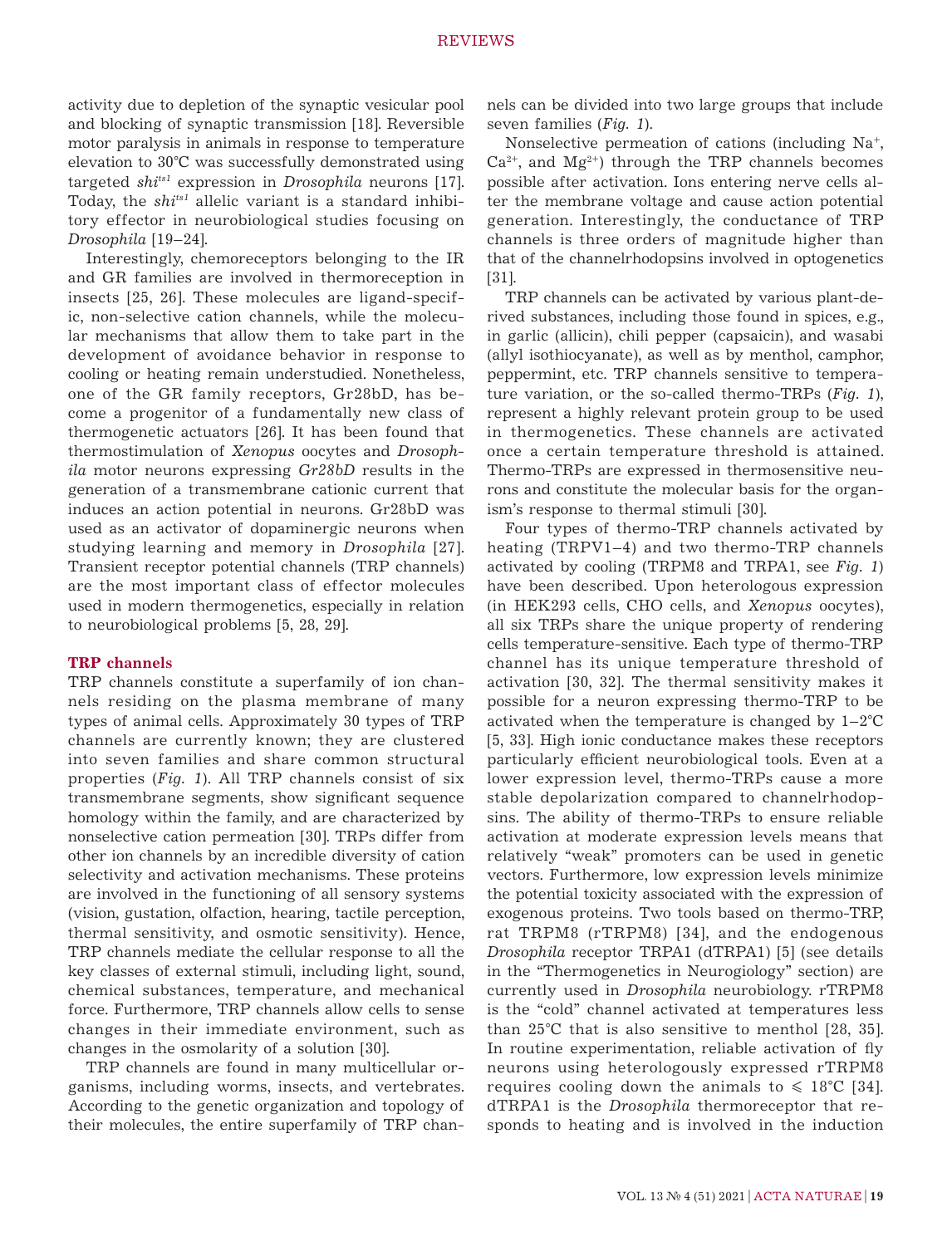activity due to depletion of the synaptic vesicular pool and blocking of synaptic transmission [18]. Reversible motor paralysis in animals in response to temperature elevation to 30°C was successfully demonstrated using targeted *shits1* expression in *Drosophila* neurons [17]. Today, the *shits1* allelic variant is a standard inhibitory effector in neurobiological studies focusing on *Drosophila* [19–24].

Interestingly, chemoreceptors belonging to the IR and GR families are involved in thermoreception in insects [25, 26]. These molecules are ligand-specific, non-selective cation channels, while the molecular mechanisms that allow them to take part in the development of avoidance behavior in response to cooling or heating remain understudied. Nonetheless, one of the GR family receptors, Gr28bD, has become a progenitor of a fundamentally new class of thermogenetic actuators [26]. It has been found that thermostimulation of *Xenopus* oocytes and *Drosophila* motor neurons expressing *Gr28bD* results in the generation of a transmembrane cationic current that induces an action potential in neurons. Gr28bD was used as an activator of dopaminergic neurons when studying learning and memory in *Drosophila* [27]. Transient receptor potential channels (TRP channels) are the most important class of effector molecules used in modern thermogenetics, especially in relation to neurobiological problems [5, 28, 29].

## **TRP channels**

TRP channels constitute a superfamily of ion channels residing on the plasma membrane of many types of animal cells. Approximately 30 types of TRP channels are currently known; they are clustered into seven families and share common structural properties (*Fig. 1*). All TRP channels consist of six transmembrane segments, show significant sequence homology within the family, and are characterized by nonselective cation permeation [30]. TRPs differ from other ion channels by an incredible diversity of cation selectivity and activation mechanisms. These proteins are involved in the functioning of all sensory systems (vision, gustation, olfaction, hearing, tactile perception, thermal sensitivity, and osmotic sensitivity). Hence, TRP channels mediate the cellular response to all the key classes of external stimuli, including light, sound, chemical substances, temperature, and mechanical force. Furthermore, TRP channels allow cells to sense changes in their immediate environment, such as changes in the osmolarity of a solution [30].

TRP channels are found in many multicellular organisms, including worms, insects, and vertebrates. According to the genetic organization and topology of their molecules, the entire superfamily of TRP channels can be divided into two large groups that include seven families (*Fig. 1*).

Nonselective permeation of cations (including Na<sup>+</sup>,  $Ca^{2+}$ , and  $Mg^{2+}$ ) through the TRP channels becomes possible after activation. Ions entering nerve cells alter the membrane voltage and cause action potential generation. Interestingly, the conductance of TRP channels is three orders of magnitude higher than that of the channelrhodopsins involved in optogenetics [31].

TRP channels can be activated by various plant-derived substances, including those found in spices, e.g., in garlic (allicin), chili pepper (capsaicin), and wasabi (allyl isothiocyanate), as well as by menthol, camphor, peppermint, etc. TRP channels sensitive to temperature variation, or the so-called thermo-TRPs (*Fig. 1*), represent a highly relevant protein group to be used in thermogenetics. These channels are activated once a certain temperature threshold is attained. Thermo-TRPs are expressed in thermosensitive neurons and constitute the molecular basis for the organism's response to thermal stimuli [30].

Four types of thermo-TRP channels activated by heating (TRPV1–4) and two thermo-TRP channels activated by cooling (TRPM8 and TRPA1, see *Fig. 1*) have been described. Upon heterologous expression (in HEK293 cells, CHO cells, and *Xenopus* oocytes), all six TRPs share the unique property of rendering cells temperature-sensitive. Each type of thermo-TRP channel has its unique temperature threshold of activation [30, 32]. The thermal sensitivity makes it possible for a neuron expressing thermo-TRP to be activated when the temperature is changed by  $1-2^{\circ}C$ [5, 33]. High ionic conductance makes these receptors particularly efficient neurobiological tools. Even at a lower expression level, thermo-TRPs cause a more stable depolarization compared to channelrhodopsins. The ability of thermo-TRPs to ensure reliable activation at moderate expression levels means that relatively "weak" promoters can be used in genetic vectors. Furthermore, low expression levels minimize the potential toxicity associated with the expression of exogenous proteins. Two tools based on thermo-TRP, rat TRPM8 (rTRPM8) [34], and the endogenous *Drosophila* receptor TRPA1 (dTRPA1) [5] (see details in the "Thermogenetics in Neurogiology" section) are currently used in *Drosophila* neurobiology. rTRPM8 is the "cold" channel activated at temperatures less than 25°C that is also sensitive to menthol [28, 35]. In routine experimentation, reliable activation of fly neurons using heterologously expressed rTRPM8 requires cooling down the animals to  $\leq 18^{\circ}$ C [34]. dTRPA1 is the *Drosophila* thermoreceptor that responds to heating and is involved in the induction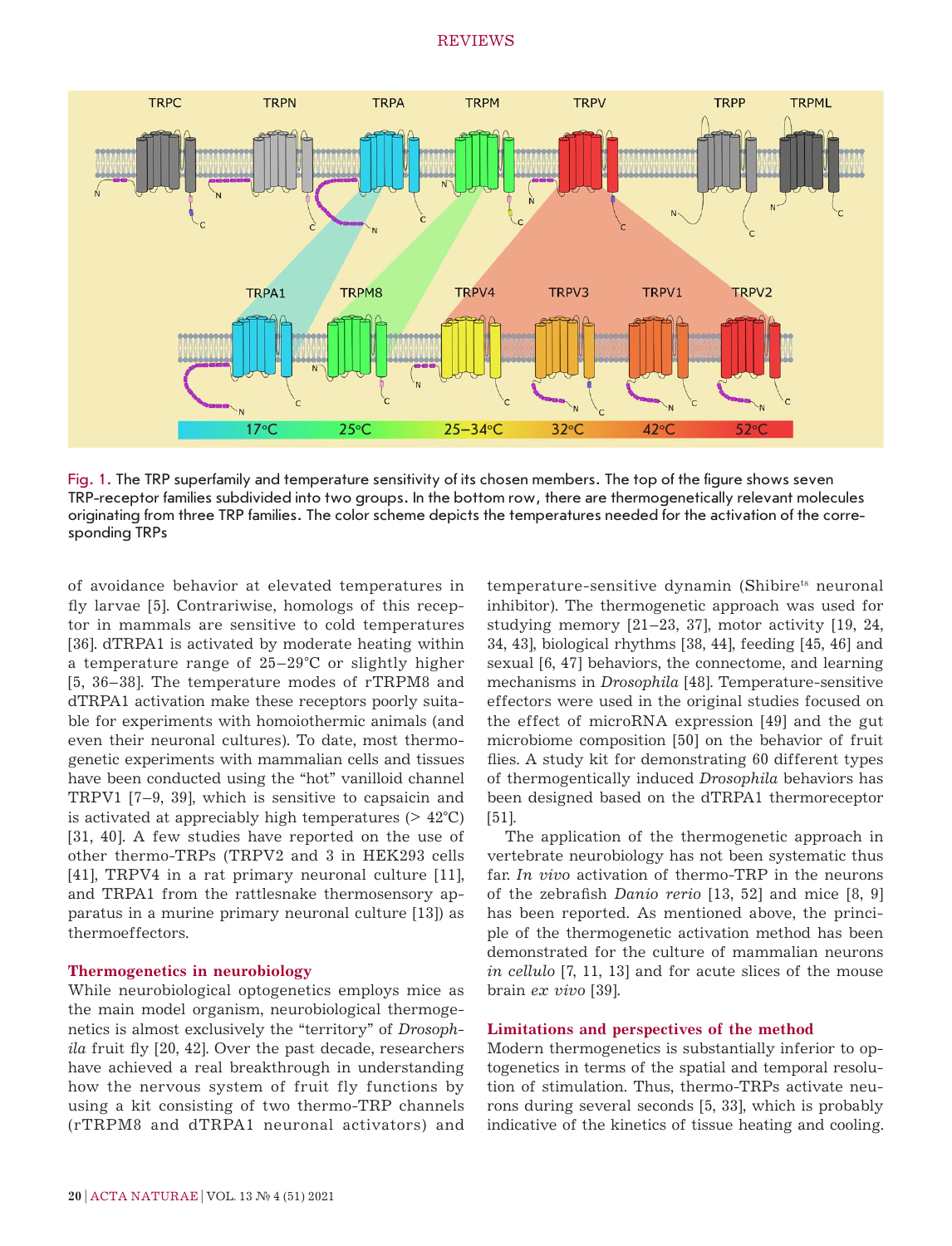

Fig. 1. The TRP superfamily and temperature sensitivity of its chosen members. The top of the figure shows seven TRP-receptor families subdivided into two groups. In the bottom row, there are thermogenetically relevant molecules originating from three TRP families. The color scheme depicts the temperatures needed for the activation of the corresponding TRPs

of avoidance behavior at elevated temperatures in fly larvae [5]. Contrariwise, homologs of this receptor in mammals are sensitive to cold temperatures [36]. dTRPA1 is activated by moderate heating within a temperature range of 25–29°C or slightly higher [5, 36–38]. The temperature modes of rTRPM8 and dTRPA1 activation make these receptors poorly suitable for experiments with homoiothermic animals (and even their neuronal cultures). To date, most thermogenetic experiments with mammalian cells and tissues have been conducted using the "hot" vanilloid channel TRPV1 [7–9, 39], which is sensitive to capsaicin and is activated at appreciably high temperatures  $(> 42^{\circ}C)$ [31, 40]. A few studies have reported on the use of other thermo-TRPs (TRPV2 and 3 in HEK293 cells [41], TRPV4 in a rat primary neuronal culture [11], and TRPA1 from the rattlesnake thermosensory apparatus in a murine primary neuronal culture [13]) as thermoeffectors.

## **Thermogenetics in neurobiology**

While neurobiological optogenetics employs mice as the main model organism, neurobiological thermogenetics is almost exclusively the "territory" of *Drosophila* fruit fly [20, 42]. Over the past decade, researchers have achieved a real breakthrough in understanding how the nervous system of fruit fly functions by using a kit consisting of two thermo-TRP channels (rTRPM8 and dTRPA1 neuronal activators) and temperature-sensitive dynamin (Shibire<sup>ts</sup> neuronal inhibitor). The thermogenetic approach was used for studying memory [21–23, 37], motor activity [19, 24, 34, 43], biological rhythms [38, 44], feeding [45, 46] and sexual [6, 47] behaviors, the connectome, and learning mechanisms in *Drosophila* [48]. Temperature-sensitive effectors were used in the original studies focused on the effect of microRNA expression [49] and the gut microbiome composition [50] on the behavior of fruit flies. A study kit for demonstrating 60 different types of thermogentically induced *Drosophila* behaviors has been designed based on the dTRPA1 thermoreceptor [51].

The application of the thermogenetic approach in vertebrate neurobiology has not been systematic thus far. *In vivo* activation of thermo-TRP in the neurons of the zebrafish *Danio rerio* [13, 52] and mice [8, 9] has been reported. As mentioned above, the principle of the thermogenetic activation method has been demonstrated for the culture of mammalian neurons *in cellulo* [7, 11, 13] and for acute slices of the mouse brain *ex vivo* [39].

## **Limitations and perspectives of the method**

Modern thermogenetics is substantially inferior to optogenetics in terms of the spatial and temporal resolution of stimulation. Thus, thermo-TRPs activate neurons during several seconds [5, 33], which is probably indicative of the kinetics of tissue heating and cooling.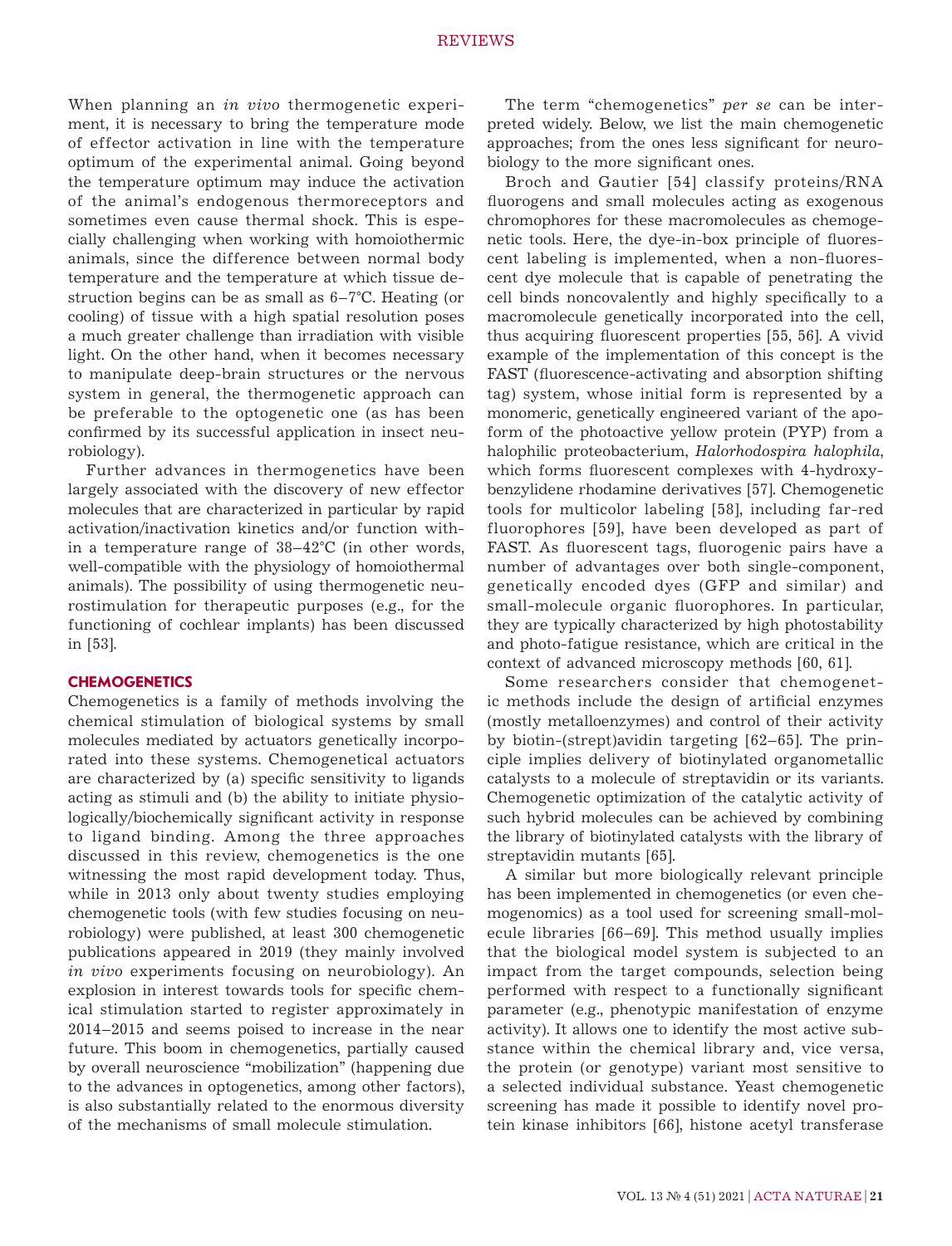When planning an *in vivo* thermogenetic experiment, it is necessary to bring the temperature mode of effector activation in line with the temperature optimum of the experimental animal. Going beyond the temperature optimum may induce the activation of the animal's endogenous thermoreceptors and sometimes even cause thermal shock. This is especially challenging when working with homoiothermic animals, since the difference between normal body temperature and the temperature at which tissue destruction begins can be as small as 6–7°С. Heating (or cooling) of tissue with a high spatial resolution poses a much greater challenge than irradiation with visible light. On the other hand, when it becomes necessary to manipulate deep-brain structures or the nervous system in general, the thermogenetic approach can be preferable to the optogenetic one (as has been confirmed by its successful application in insect neurobiology).

Further advances in thermogenetics have been largely associated with the discovery of new effector molecules that are characterized in particular by rapid activation/inactivation kinetics and/or function within a temperature range of 38–42°C (in other words, well-compatible with the physiology of homoiothermal animals). The possibility of using thermogenetic neurostimulation for therapeutic purposes (e.g., for the functioning of cochlear implants) has been discussed in [53].

## **CHEMOGENETICS**

Chemogenetics is a family of methods involving the chemical stimulation of biological systems by small molecules mediated by actuators genetically incorporated into these systems. Chemogenetical actuators are characterized by (a) specific sensitivity to ligands acting as stimuli and (b) the ability to initiate physiologically/biochemically significant activity in response to ligand binding. Among the three approaches discussed in this review, chemogenetics is the one witnessing the most rapid development today. Thus, while in 2013 only about twenty studies employing chemogenetic tools (with few studies focusing on neurobiology) were published, at least 300 chemogenetic publications appeared in 2019 (they mainly involved *in vivo* experiments focusing on neurobiology). An explosion in interest towards tools for specific chemical stimulation started to register approximately in 2014–2015 and seems poised to increase in the near future. This boom in chemogenetics, partially caused by overall neuroscience "mobilization" (happening due to the advances in optogenetics, among other factors), is also substantially related to the enormous diversity of the mechanisms of small molecule stimulation.

The term "chemogenetics" *per se* can be interpreted widely. Below, we list the main chemogenetic approaches; from the ones less significant for neurobiology to the more significant ones.

Broch and Gautier [54] classify proteins/RNA fluorogens and small molecules acting as exogenous chromophores for these macromolecules as chemogenetic tools. Here, the dye-in-box principle of fluorescent labeling is implemented, when a non-fluorescent dye molecule that is capable of penetrating the cell binds noncovalently and highly specifically to a macromolecule genetically incorporated into the cell, thus acquiring fluorescent properties [55, 56]. A vivid example of the implementation of this concept is the FAST (fluorescence-activating and absorption shifting tag) system, whose initial form is represented by a monomeric, genetically engineered variant of the apoform of the photoactive yellow protein (PYP) from a halophilic proteobacterium, *Halorhodospira halophila*, which forms fluorescent complexes with 4-hydroxybenzylidene rhodamine derivatives [57]. Chemogenetic tools for multicolor labeling [58], including far-red fluorophores [59], have been developed as part of FAST. As fluorescent tags, fluorogenic pairs have a number of advantages over both single-component, genetically encoded dyes (GFP and similar) and small-molecule organic fluorophores. In particular, they are typically characterized by high photostability and photo-fatigue resistance, which are critical in the context of advanced microscopy methods [60, 61].

Some researchers consider that chemogenetic methods include the design of artificial enzymes (mostly metalloenzymes) and control of their activity by biotin-(strept)avidin targeting [62–65]. The principle implies delivery of biotinylated organometallic catalysts to a molecule of streptavidin or its variants. Chemogenetic optimization of the catalytic activity of such hybrid molecules can be achieved by combining the library of biotinylated catalysts with the library of streptavidin mutants [65].

A similar but more biologically relevant principle has been implemented in chemogenetics (or even chemogenomics) as a tool used for screening small-molecule libraries [66–69]. This method usually implies that the biological model system is subjected to an impact from the target compounds, selection being performed with respect to a functionally significant parameter (e.g., phenotypic manifestation of enzyme activity). It allows one to identify the most active substance within the chemical library and, vice versa, the protein (or genotype) variant most sensitive to a selected individual substance. Yeast chemogenetic screening has made it possible to identify novel protein kinase inhibitors [66], histone acetyl transferase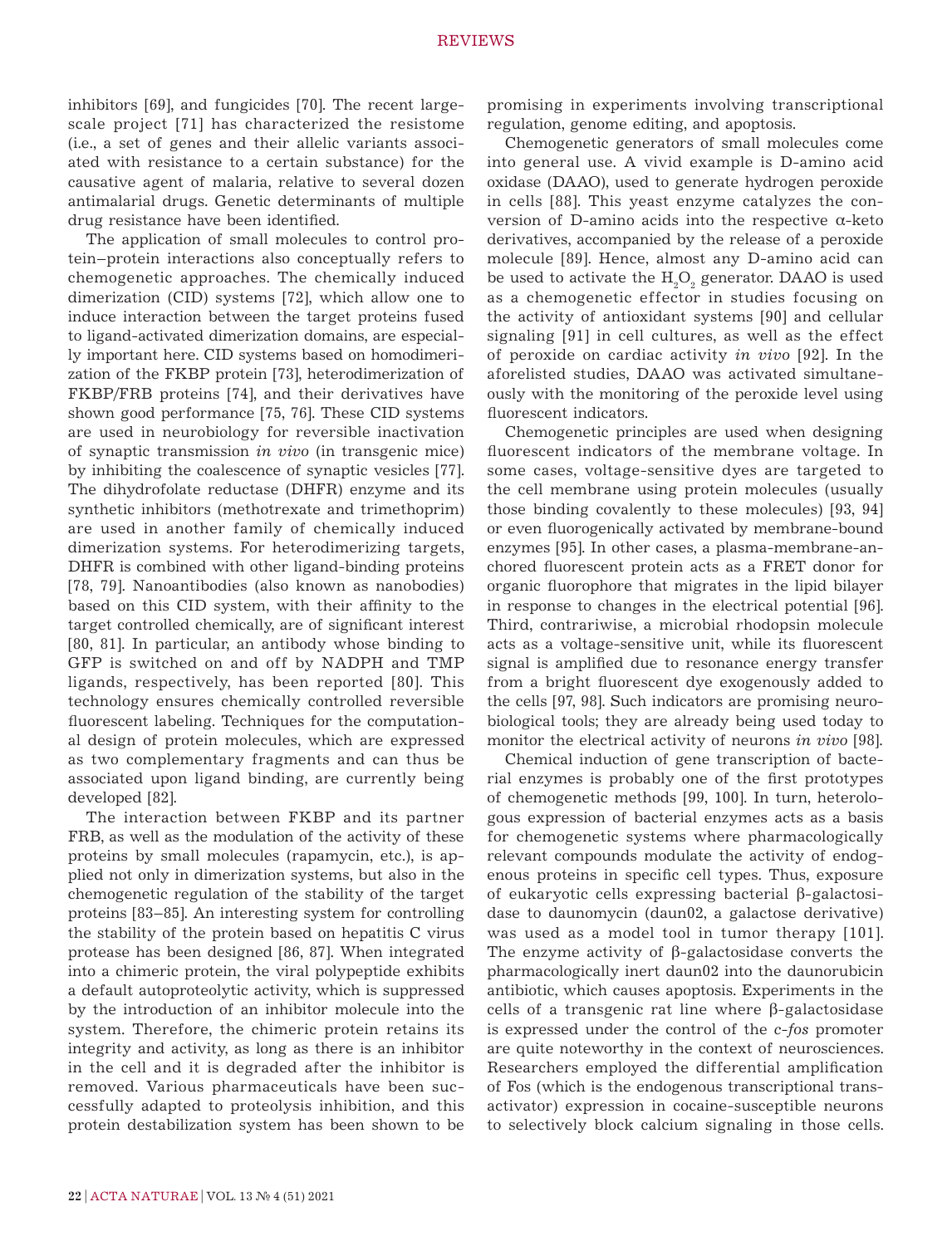inhibitors [69], and fungicides [70]. The recent largescale project [71] has characterized the resistome (i.e., a set of genes and their allelic variants associated with resistance to a certain substance) for the causative agent of malaria, relative to several dozen antimalarial drugs. Genetic determinants of multiple drug resistance have been identified.

The application of small molecules to control protein–protein interactions also conceptually refers to chemogenetic approaches. The chemically induced dimerization (CID) systems [72], which allow one to induce interaction between the target proteins fused to ligand-activated dimerization domains, are especially important here. CID systems based on homodimerization of the FKBP protein [73], heterodimerization of FKBP/FRB proteins [74], and their derivatives have shown good performance [75, 76]. These CID systems are used in neurobiology for reversible inactivation of synaptic transmission *in vivo* (in transgenic mice) by inhibiting the coalescence of synaptic vesicles [77]. The dihydrofolate reductase (DHFR) enzyme and its synthetic inhibitors (methotrexate and trimethoprim) are used in another family of chemically induced dimerization systems. For heterodimerizing targets, DHFR is combined with other ligand-binding proteins [78, 79]. Nanoantibodies (also known as nanobodies) based on this CID system, with their affinity to the target controlled chemically, are of significant interest [80, 81]. In particular, an antibody whose binding to GFP is switched on and off by NADPH and TMP ligands, respectively, has been reported [80]. This technology ensures chemically controlled reversible fluorescent labeling. Techniques for the computational design of protein molecules, which are expressed as two complementary fragments and can thus be associated upon ligand binding, are currently being developed [82].

The interaction between FKBP and its partner FRB, as well as the modulation of the activity of these proteins by small molecules (rapamycin, etc.), is applied not only in dimerization systems, but also in the chemogenetic regulation of the stability of the target proteins [83–85]. An interesting system for controlling the stability of the protein based on hepatitis C virus protease has been designed [86, 87]. When integrated into a chimeric protein, the viral polypeptide exhibits a default autoproteolytic activity, which is suppressed by the introduction of an inhibitor molecule into the system. Therefore, the chimeric protein retains its integrity and activity, as long as there is an inhibitor in the cell and it is degraded after the inhibitor is removed. Various pharmaceuticals have been successfully adapted to proteolysis inhibition, and this protein destabilization system has been shown to be

promising in experiments involving transcriptional regulation, genome editing, and apoptosis.

Chemogenetic generators of small molecules come into general use. A vivid example is D-amino acid oxidase (DAAO), used to generate hydrogen peroxide in cells [88]. This yeast enzyme catalyzes the conversion of D-amino acids into the respective α-keto derivatives, accompanied by the release of a peroxide molecule [89]. Hence, almost any D-amino acid can be used to activate the  $H_2O_2$  generator. DAAO is used as a chemogenetic effector in studies focusing on the activity of antioxidant systems [90] and cellular signaling [91] in cell cultures, as well as the effect of peroxide on cardiac activity *in vivo* [92]. In the aforelisted studies, DAAO was activated simultaneously with the monitoring of the peroxide level using fluorescent indicators.

Chemogenetic principles are used when designing fluorescent indicators of the membrane voltage. In some cases, voltage-sensitive dyes are targeted to the cell membrane using protein molecules (usually those binding covalently to these molecules) [93, 94] or even fluorogenically activated by membrane-bound enzymes [95]. In other cases, a plasma-membrane-anchored fluorescent protein acts as a FRET donor for organic fluorophore that migrates in the lipid bilayer in response to changes in the electrical potential [96]. Third, contrariwise, a microbial rhodopsin molecule acts as a voltage-sensitive unit, while its fluorescent signal is amplified due to resonance energy transfer from a bright fluorescent dye exogenously added to the cells [97, 98]. Such indicators are promising neurobiological tools; they are already being used today to monitor the electrical activity of neurons *in vivo* [98].

Chemical induction of gene transcription of bacterial enzymes is probably one of the first prototypes of chemogenetic methods [99, 100]. In turn, heterologous expression of bacterial enzymes acts as a basis for chemogenetic systems where pharmacologically relevant compounds modulate the activity of endogenous proteins in specific cell types. Thus, exposure of eukaryotic cells expressing bacterial β-galactosidase to daunomycin (daun02, a galactose derivative) was used as a model tool in tumor therapy [101]. The enzyme activity of  $β$ -galactosidase converts the pharmacologically inert daun02 into the daunorubicin antibiotic, which causes apoptosis. Experiments in the cells of a transgenic rat line where β-galactosidase is expressed under the control of the *c-fos* promoter are quite noteworthy in the context of neurosciences. Researchers employed the differential amplification of Fos (which is the endogenous transcriptional transactivator) expression in cocaine-susceptible neurons to selectively block calcium signaling in those cells.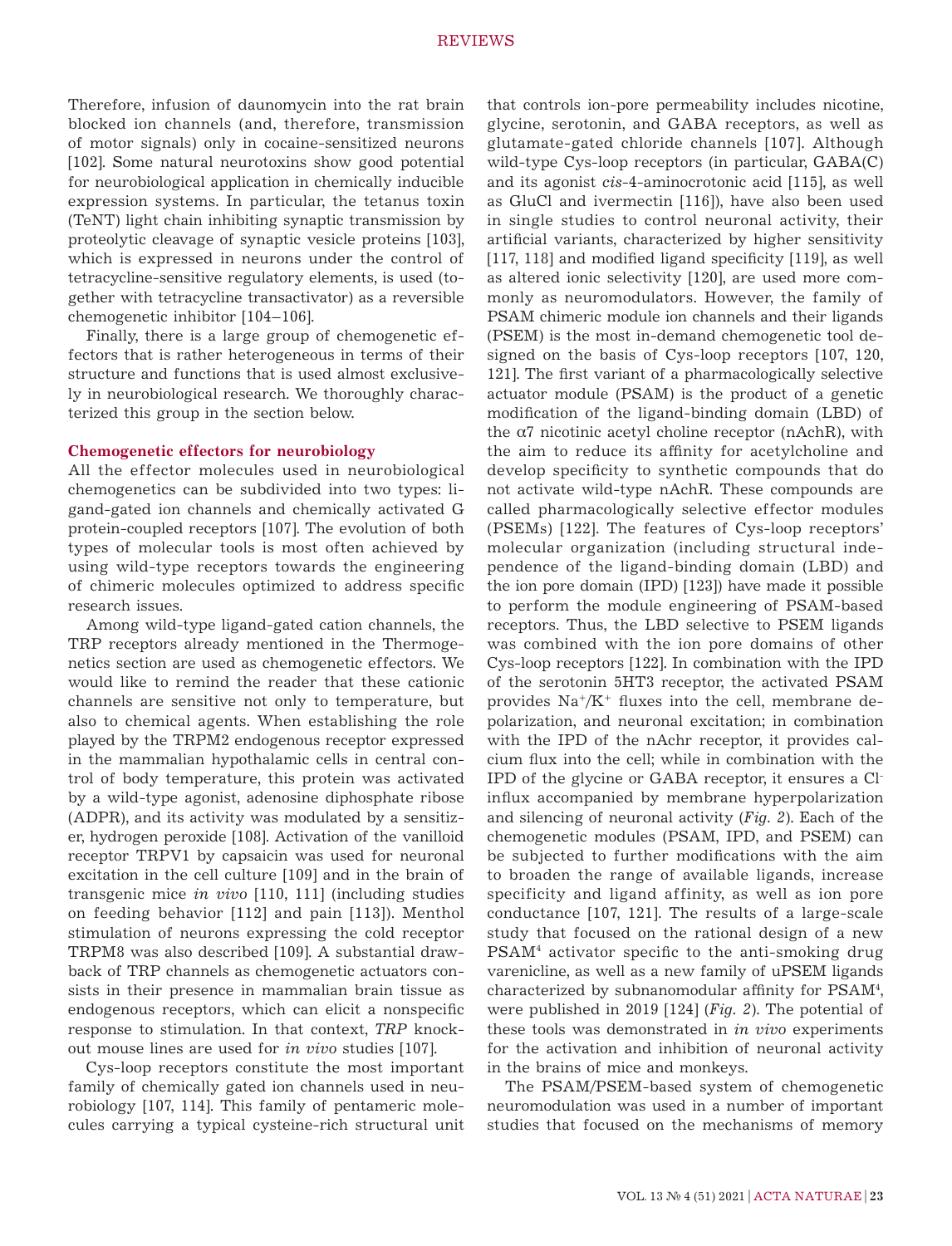Therefore, infusion of daunomycin into the rat brain blocked ion channels (and, therefore, transmission of motor signals) only in cocaine-sensitized neurons [102]. Some natural neurotoxins show good potential for neurobiological application in chemically inducible expression systems. In particular, the tetanus toxin (TeNT) light chain inhibiting synaptic transmission by proteolytic cleavage of synaptic vesicle proteins [103], which is expressed in neurons under the control of tetracycline-sensitive regulatory elements, is used (together with tetracycline transactivator) as a reversible chemogenetic inhibitor [104–106].

Finally, there is a large group of chemogenetic effectors that is rather heterogeneous in terms of their structure and functions that is used almost exclusively in neurobiological research. We thoroughly characterized this group in the section below.

#### **Chemogenetic effectors for neurobiology**

All the effector molecules used in neurobiological chemogenetics can be subdivided into two types: ligand-gated ion channels and chemically activated G protein-coupled receptors [107]. The evolution of both types of molecular tools is most often achieved by using wild-type receptors towards the engineering of chimeric molecules optimized to address specific research issues.

Among wild-type ligand-gated cation channels, the TRP receptors already mentioned in the Thermogenetics section are used as chemogenetic effectors. We would like to remind the reader that these cationic channels are sensitive not only to temperature, but also to chemical agents. When establishing the role played by the TRPM2 endogenous receptor expressed in the mammalian hypothalamic cells in central control of body temperature, this protein was activated by a wild-type agonist, adenosine diphosphate ribose (ADPR), and its activity was modulated by a sensitizer, hydrogen peroxide [108]. Activation of the vanilloid receptor TRPV1 by capsaicin was used for neuronal excitation in the cell culture [109] and in the brain of transgenic mice *in vivo* [110, 111] (including studies on feeding behavior [112] and pain [113]). Menthol stimulation of neurons expressing the cold receptor TRPM8 was also described [109]. A substantial drawback of TRP channels as chemogenetic actuators consists in their presence in mammalian brain tissue as endogenous receptors, which can elicit a nonspecific response to stimulation. In that context, *TRP* knockout mouse lines are used for *in vivo* studies [107].

Cys-loop receptors constitute the most important family of chemically gated ion channels used in neurobiology [107, 114]. This family of pentameric molecules carrying a typical cysteine-rich structural unit that controls ion-pore permeability includes nicotine, glycine, serotonin, and GABA receptors, as well as glutamate-gated chloride channels [107]. Although wild-type Cys-loop receptors (in particular, GABA(C) and its agonist *cis*-4-aminocrotonic acid [115], as well as GluCl and ivermectin [116]), have also been used in single studies to control neuronal activity, their artificial variants, characterized by higher sensitivity [117, 118] and modified ligand specificity [119], as well as altered ionic selectivity [120], are used more commonly as neuromodulators. However, the family of PSAM chimeric module ion channels and their ligands (PSEM) is the most in-demand chemogenetic tool designed on the basis of Cys-loop receptors [107, 120, 121]. The first variant of a pharmacologically selective actuator module (PSAM) is the product of a genetic modification of the ligand-binding domain (LBD) of the  $α7$  nicotinic acetyl choline receptor (nAchR), with the aim to reduce its affinity for acetylcholine and develop specificity to synthetic compounds that do not activate wild-type nAchR. These compounds are called pharmacologically selective effector modules (PSEMs) [122]. The features of Cys-loop receptors' molecular organization (including structural independence of the ligand-binding domain (LBD) and the ion pore domain (IPD) [123]) have made it possible to perform the module engineering of PSAM-based receptors. Thus, the LBD selective to PSEM ligands was combined with the ion pore domains of other Cys-loop receptors [122]. In combination with the IPD of the serotonin 5HT3 receptor, the activated PSAM provides  $\text{Na}^{\text{+}}/\text{K}^{\text{+}}$  fluxes into the cell, membrane depolarization, and neuronal excitation; in combination with the IPD of the nAchr receptor, it provides calcium flux into the cell; while in combination with the IPD of the glycine or GABA receptor, it ensures a Clinflux accompanied by membrane hyperpolarization and silencing of neuronal activity (*Fig. 2*). Each of the chemogenetic modules (PSAM, IPD, and PSEM) can be subjected to further modifications with the aim to broaden the range of available ligands, increase specificity and ligand affinity, as well as ion pore conductance [107, 121]. The results of a large-scale study that focused on the rational design of a new PSAM4 activator specific to the anti-smoking drug varenicline, as well as a new family of uPSEM ligands characterized by subnanomodular affinity for PSAM<sup>4</sup>, were published in 2019 [124] (*Fig. 2*). The potential of these tools was demonstrated in *in vivo* experiments for the activation and inhibition of neuronal activity in the brains of mice and monkeys.

The PSAM/PSEM-based system of chemogenetic neuromodulation was used in a number of important studies that focused on the mechanisms of memory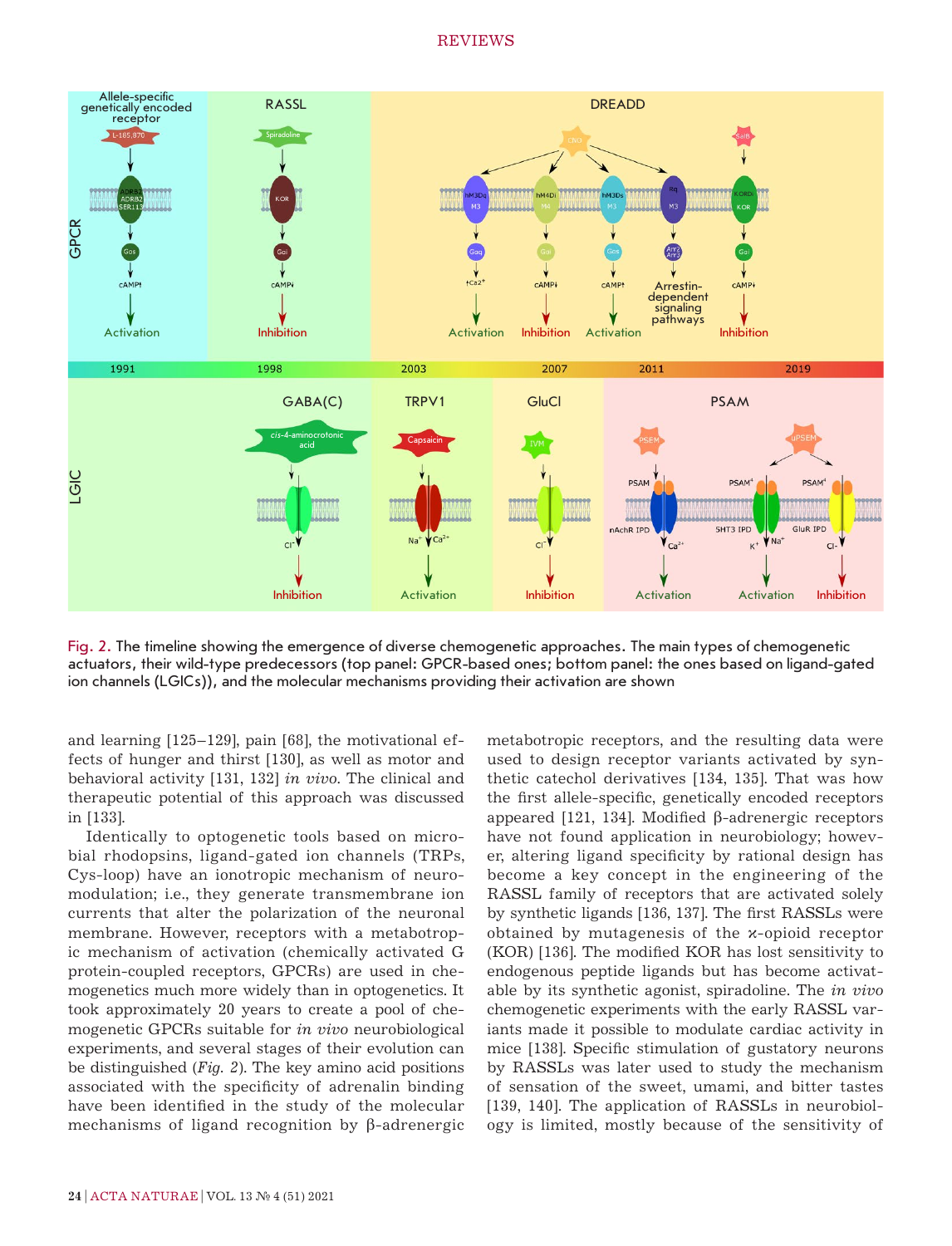

Fig. 2. The timeline showing the emergence of diverse chemogenetic approaches. The main types of chemogenetic actuators, their wild-type predecessors (top panel: GPCR-based ones; bottom panel: the ones based on ligand-gated ion channels (LGICs)), and the molecular mechanisms providing their activation are shown

and learning [125–129], pain [68], the motivational effects of hunger and thirst [130], as well as motor and behavioral activity [131, 132] *in vivo*. The clinical and therapeutic potential of this approach was discussed in [133].

Identically to optogenetic tools based on microbial rhodopsins, ligand-gated ion channels (TRPs, Cys-loop) have an ionotropic mechanism of neuromodulation; i.e., they generate transmembrane ion currents that alter the polarization of the neuronal membrane. However, receptors with a metabotropic mechanism of activation (chemically activated G protein-coupled receptors, GPCRs) are used in chemogenetics much more widely than in optogenetics. It took approximately 20 years to create a pool of chemogenetic GPCRs suitable for *in vivo* neurobiological experiments, and several stages of their evolution can be distinguished (*Fig. 2*). The key amino acid positions associated with the specificity of adrenalin binding have been identified in the study of the molecular mechanisms of ligand recognition by β-adrenergic

metabotropic receptors, and the resulting data were used to design receptor variants activated by synthetic catechol derivatives [134, 135]. That was how the first allele-specific, genetically encoded receptors appeared [121, 134]. Modified β-adrenergic receptors have not found application in neurobiology; however, altering ligand specificity by rational design has become a key concept in the engineering of the RASSL family of receptors that are activated solely by synthetic ligands [136, 137]. The first RASSLs were obtained by mutagenesis of the κ-opioid receptor (KOR) [136]. The modified KOR has lost sensitivity to endogenous peptide ligands but has become activatable by its synthetic agonist, spiradoline. The *in vivo*  chemogenetic experiments with the early RASSL variants made it possible to modulate cardiac activity in mice [138]. Specific stimulation of gustatory neurons by RASSLs was later used to study the mechanism of sensation of the sweet, umami, and bitter tastes [139, 140]. The application of RASSLs in neurobiology is limited, mostly because of the sensitivity of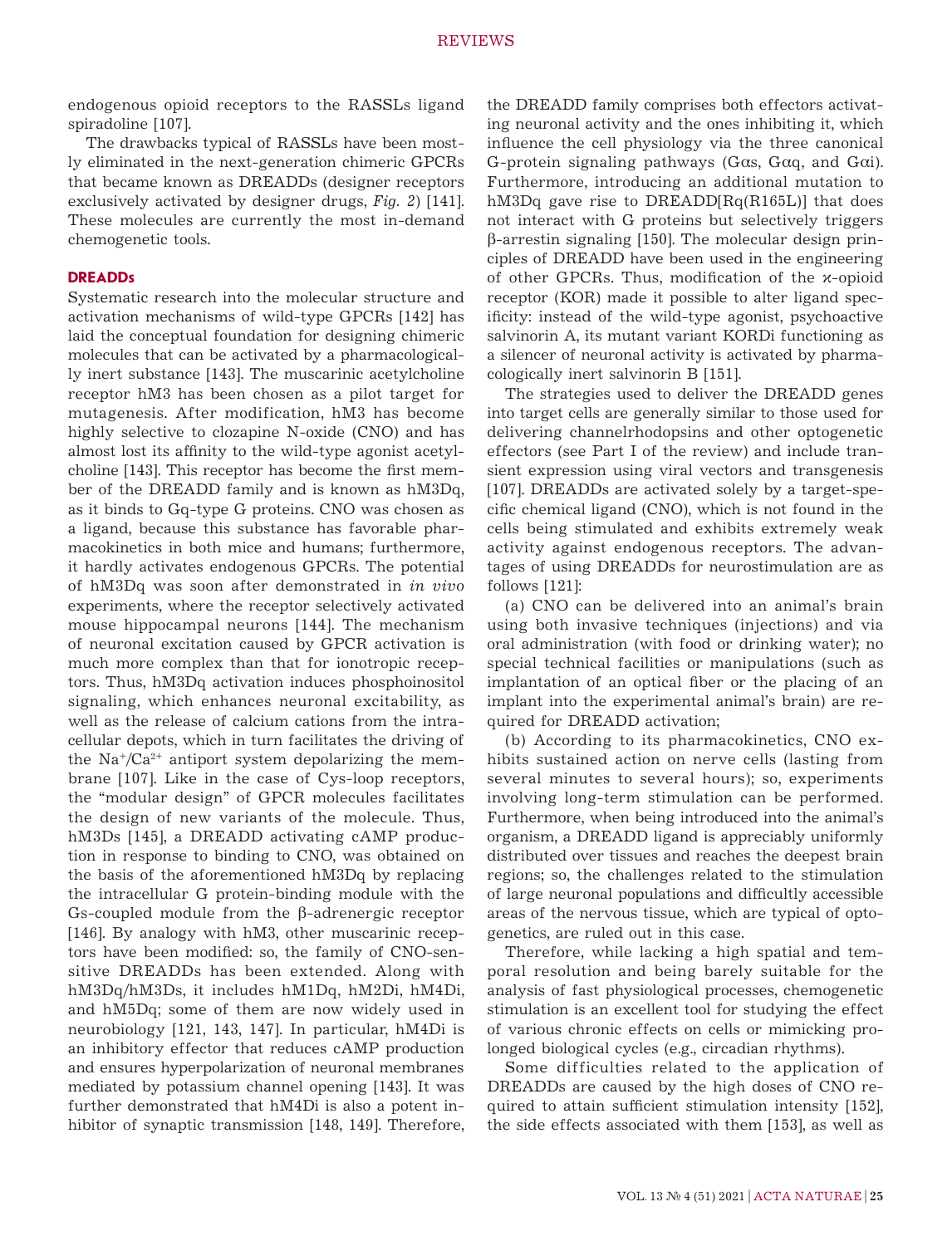endogenous opioid receptors to the RASSLs ligand spiradoline [107].

The drawbacks typical of RASSLs have been mostly eliminated in the next-generation chimeric GPCRs that became known as DREADDs (designer receptors exclusively activated by designer drugs, *Fig. 2*) [141]. These molecules are currently the most in-demand chemogenetic tools.

#### **DREADDs**

Systematic research into the molecular structure and activation mechanisms of wild-type GPCRs [142] has laid the conceptual foundation for designing chimeric molecules that can be activated by a pharmacologically inert substance [143]. The muscarinic acetylcholine receptor hM3 has been chosen as a pilot target for mutagenesis. After modification, hM3 has become highly selective to clozapine N-oxide (CNO) and has almost lost its affinity to the wild-type agonist acetylcholine [143]. This receptor has become the first member of the DREADD family and is known as hM3Dq, as it binds to Gq-type G proteins. CNO was chosen as a ligand, because this substance has favorable pharmacokinetics in both mice and humans; furthermore, it hardly activates endogenous GPCRs. The potential of hM3Dq was soon after demonstrated in *in vivo* experiments, where the receptor selectively activated mouse hippocampal neurons [144]. The mechanism of neuronal excitation caused by GPCR activation is much more complex than that for ionotropic receptors. Thus, hM3Dq activation induces phosphoinositol signaling, which enhances neuronal excitability, as well as the release of calcium cations from the intracellular depots, which in turn facilitates the driving of the  $\text{Na}^{\dagger}/\text{Ca}^{2+}$  antiport system depolarizing the membrane [107]. Like in the case of Cys-loop receptors, the "modular design" of GPCR molecules facilitates the design of new variants of the molecule. Thus, hM3Ds [145], a DREADD activating cAMP production in response to binding to CNO, was obtained on the basis of the aforementioned hM3Dq by replacing the intracellular G protein-binding module with the Gs-coupled module from the β-adrenergic receptor [146]. By analogy with hM3, other muscarinic receptors have been modified: so, the family of CNO-sensitive DREADDs has been extended. Along with hM3Dq/hM3Ds, it includes hM1Dq, hM2Di, hM4Di, and hM5Dq; some of them are now widely used in neurobiology [121, 143, 147]. In particular, hM4Di is an inhibitory effector that reduces cAMP production and ensures hyperpolarization of neuronal membranes mediated by potassium channel opening [143]. It was further demonstrated that hM4Di is also a potent inhibitor of synaptic transmission [148, 149]. Therefore, the DREADD family comprises both effectors activating neuronal activity and the ones inhibiting it, which influence the cell physiology via the three canonical G-protein signaling pathways (Gαs, Gαq, and Gαi). Furthermore, introducing an additional mutation to hM3Dq gave rise to DREADD[Rq(R165L)] that does not interact with G proteins but selectively triggers β-arrestin signaling [150]. The molecular design principles of DREADD have been used in the engineering of other GPCRs. Thus, modification of the κ-opioid receptor (KOR) made it possible to alter ligand specificity: instead of the wild-type agonist, psychoactive salvinorin A, its mutant variant KORDi functioning as a silencer of neuronal activity is activated by pharmacologically inert salvinorin B [151].

The strategies used to deliver the DREADD genes into target cells are generally similar to those used for delivering channelrhodopsins and other optogenetic effectors (see Part I of the review) and include transient expression using viral vectors and transgenesis [107]. DREADDs are activated solely by a target-specific chemical ligand (CNO), which is not found in the cells being stimulated and exhibits extremely weak activity against endogenous receptors. The advantages of using DREADDs for neurostimulation are as follows [121]:

(a) CNO can be delivered into an animal's brain using both invasive techniques (injections) and via oral administration (with food or drinking water); no special technical facilities or manipulations (such as implantation of an optical fiber or the placing of an implant into the experimental animal's brain) are required for DREADD activation;

(b) According to its pharmacokinetics, CNO exhibits sustained action on nerve cells (lasting from several minutes to several hours); so, experiments involving long-term stimulation can be performed. Furthermore, when being introduced into the animal's organism, a DREADD ligand is appreciably uniformly distributed over tissues and reaches the deepest brain regions; so, the challenges related to the stimulation of large neuronal populations and difficultly accessible areas of the nervous tissue, which are typical of optogenetics, are ruled out in this case.

Therefore, while lacking a high spatial and temporal resolution and being barely suitable for the analysis of fast physiological processes, chemogenetic stimulation is an excellent tool for studying the effect of various chronic effects on cells or mimicking prolonged biological cycles (e.g., circadian rhythms).

Some difficulties related to the application of DREADDs are caused by the high doses of CNO required to attain sufficient stimulation intensity [152], the side effects associated with them [153], as well as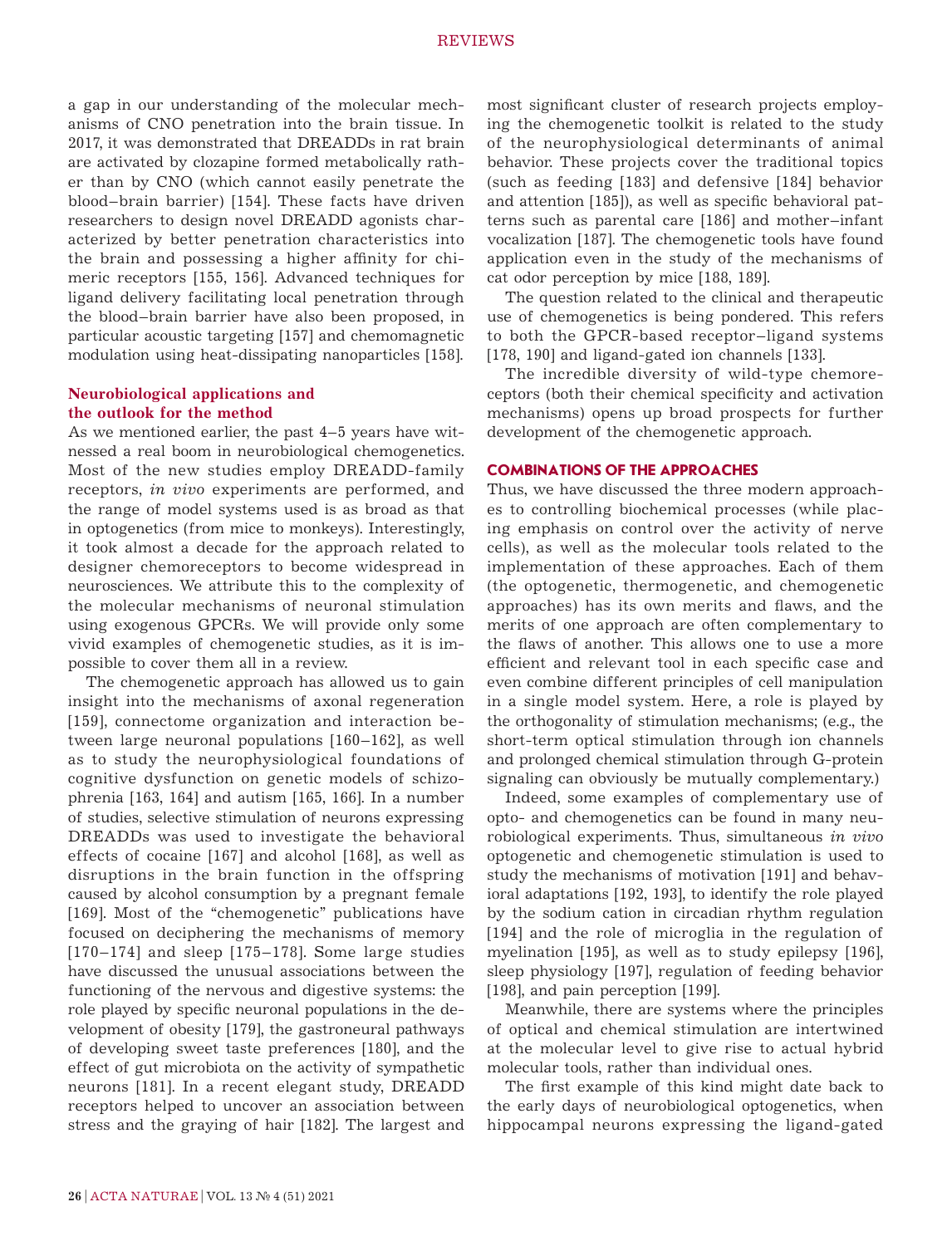a gap in our understanding of the molecular mechanisms of CNO penetration into the brain tissue. In 2017, it was demonstrated that DREADDs in rat brain are activated by clozapine formed metabolically rather than by CNO (which cannot easily penetrate the blood–brain barrier) [154]. These facts have driven researchers to design novel DREADD agonists characterized by better penetration characteristics into the brain and possessing a higher affinity for chimeric receptors [155, 156]. Advanced techniques for ligand delivery facilitating local penetration through the blood–brain barrier have also been proposed, in particular acoustic targeting [157] and chemomagnetic modulation using heat-dissipating nanoparticles [158].

# **Neurobiological applications and the outlook for the method**

As we mentioned earlier, the past 4–5 years have witnessed a real boom in neurobiological chemogenetics. Most of the new studies employ DREADD-family receptors, *in vivo* experiments are performed, and the range of model systems used is as broad as that in optogenetics (from mice to monkeys). Interestingly, it took almost a decade for the approach related to designer chemoreceptors to become widespread in neurosciences. We attribute this to the complexity of the molecular mechanisms of neuronal stimulation using exogenous GPCRs. We will provide only some vivid examples of chemogenetic studies, as it is impossible to cover them all in a review.

The chemogenetic approach has allowed us to gain insight into the mechanisms of axonal regeneration [159], connectome organization and interaction between large neuronal populations [160–162], as well as to study the neurophysiological foundations of cognitive dysfunction on genetic models of schizophrenia [163, 164] and autism [165, 166]. In a number of studies, selective stimulation of neurons expressing DREADDs was used to investigate the behavioral effects of cocaine [167] and alcohol [168], as well as disruptions in the brain function in the offspring caused by alcohol consumption by a pregnant female [169]. Most of the "chemogenetic" publications have focused on deciphering the mechanisms of memory [170–174] and sleep [175–178]. Some large studies have discussed the unusual associations between the functioning of the nervous and digestive systems: the role played by specific neuronal populations in the development of obesity [179], the gastroneural pathways of developing sweet taste preferences [180], and the effect of gut microbiota on the activity of sympathetic neurons [181]. In a recent elegant study, DREADD receptors helped to uncover an association between stress and the graying of hair [182]. The largest and most significant cluster of research projects employing the chemogenetic toolkit is related to the study of the neurophysiological determinants of animal behavior. These projects cover the traditional topics (such as feeding [183] and defensive [184] behavior and attention [185]), as well as specific behavioral patterns such as parental care [186] and mother–infant vocalization [187]. The chemogenetic tools have found application even in the study of the mechanisms of cat odor perception by mice [188, 189].

The question related to the clinical and therapeutic use of chemogenetics is being pondered. This refers to both the GPCR-based receptor–ligand systems [178, 190] and ligand-gated ion channels [133].

The incredible diversity of wild-type chemoreceptors (both their chemical specificity and activation mechanisms) opens up broad prospects for further development of the chemogenetic approach.

#### **COMBINATIONS OF THE APPROACHES**

Thus, we have discussed the three modern approaches to controlling biochemical processes (while placing emphasis on control over the activity of nerve cells), as well as the molecular tools related to the implementation of these approaches. Each of them (the optogenetic, thermogenetic, and chemogenetic approaches) has its own merits and flaws, and the merits of one approach are often complementary to the flaws of another. This allows one to use a more efficient and relevant tool in each specific case and even combine different principles of cell manipulation in a single model system. Here, a role is played by the orthogonality of stimulation mechanisms; (e.g., the short-term optical stimulation through ion channels and prolonged chemical stimulation through G-protein signaling can obviously be mutually complementary.)

Indeed, some examples of complementary use of opto- and chemogenetics can be found in many neurobiological experiments. Thus, simultaneous *in vivo* optogenetic and chemogenetic stimulation is used to study the mechanisms of motivation [191] and behavioral adaptations [192, 193], to identify the role played by the sodium cation in circadian rhythm regulation [194] and the role of microglia in the regulation of myelination [195], as well as to study epilepsy [196], sleep physiology [197], regulation of feeding behavior [198], and pain perception [199].

Meanwhile, there are systems where the principles of optical and chemical stimulation are intertwined at the molecular level to give rise to actual hybrid molecular tools, rather than individual ones.

The first example of this kind might date back to the early days of neurobiological optogenetics, when hippocampal neurons expressing the ligand-gated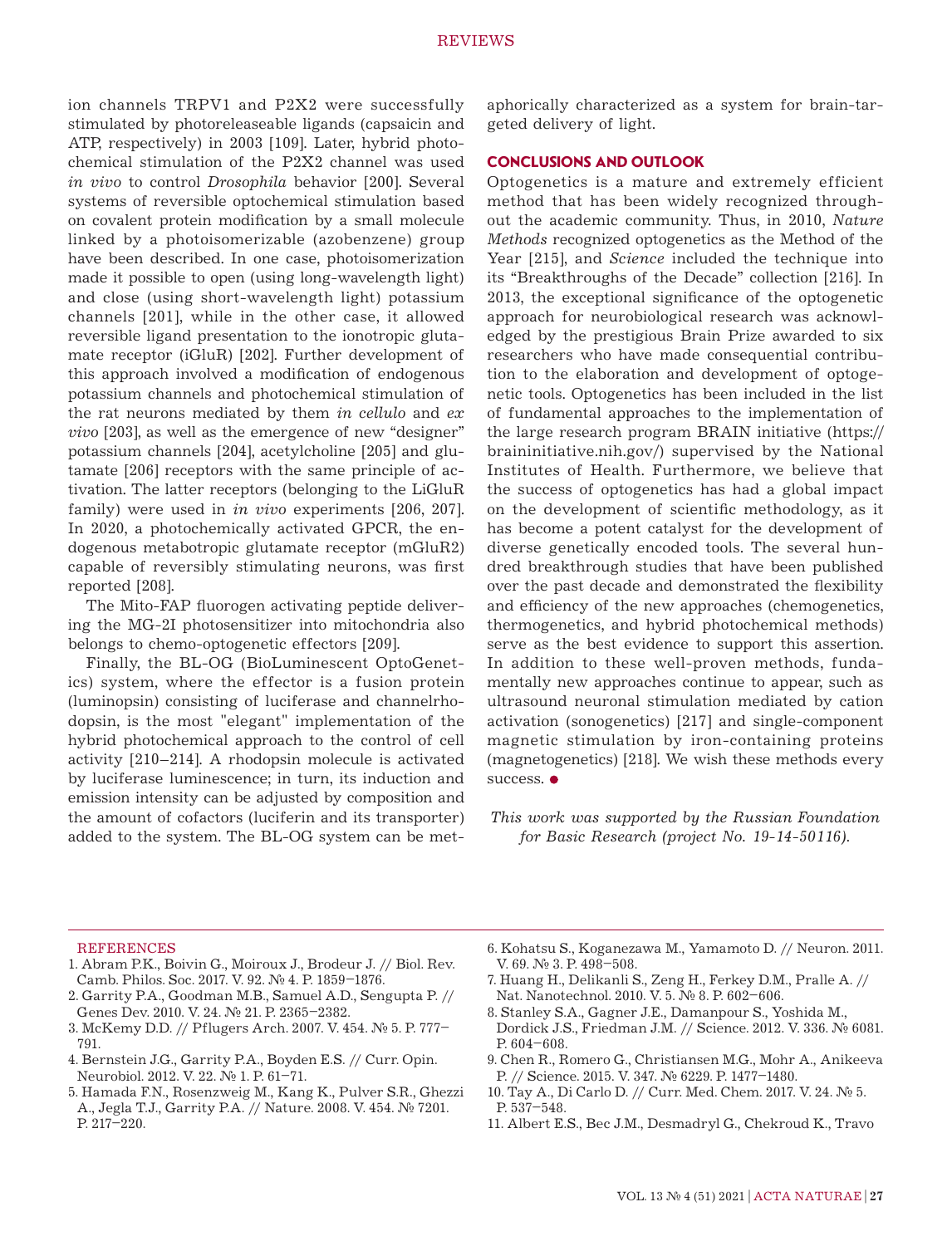ion channels TRPV1 and P2X2 were successfully stimulated by photoreleaseable ligands (capsaicin and АТР, respectively) in 2003 [109]. Later, hybrid photochemical stimulation of the P2X2 channel was used *in vivo* to control *Drosophila* behavior [200]. Several systems of reversible optochemical stimulation based on covalent protein modification by a small molecule linked by a photoisomerizable (azobenzene) group have been described. In one case, photoisomerization made it possible to open (using long-wavelength light) and close (using short-wavelength light) potassium channels [201], while in the other case, it allowed reversible ligand presentation to the ionotropic glutamate receptor (iGluR) [202]. Further development of this approach involved a modification of endogenous potassium channels and photochemical stimulation of the rat neurons mediated by them *in cellulo* and *ex vivo* [203], as well as the emergence of new "designer" potassium channels [204], acetylcholine [205] and glutamate [206] receptors with the same principle of activation. The latter receptors (belonging to the LiGluR family) were used in *in vivo* experiments [206, 207]. In 2020, a photochemically activated GPCR, the endogenous metabotropic glutamate receptor (mGluR2) capable of reversibly stimulating neurons, was first reported [208].

The Mito-FAP fluorogen activating peptide delivering the MG-2I photosensitizer into mitochondria also belongs to chemo-optogenetic effectors [209].

Finally, the BL-OG (BioLuminescent OptoGenetics) system, where the effector is a fusion protein (luminopsin) consisting of luciferase and channelrhodopsin, is the most "elegant" implementation of the hybrid photochemical approach to the control of cell activity [210–214]. A rhodopsin molecule is activated by luciferase luminescence; in turn, its induction and emission intensity can be adjusted by composition and the amount of cofactors (luciferin and its transporter) added to the system. The BL-OG system can be metaphorically characterized as a system for brain-targeted delivery of light.

## **CONCLUSIONS AND OUTLOOK**

Optogenetics is a mature and extremely efficient method that has been widely recognized throughout the academic community. Thus, in 2010, *Nature Methods* recognized optogenetics as the Method of the Year [215], and *Science* included the technique into its "Breakthroughs of the Decade" collection [216]. In 2013, the exceptional significance of the optogenetic approach for neurobiological research was acknowledged by the prestigious Brain Prize awarded to six researchers who have made consequential contribution to the elaboration and development of optogenetic tools. Optogenetics has been included in the list of fundamental approaches to the implementation of the large research program BRAIN initiative (https:// braininitiative.nih.gov/) supervised by the National Institutes of Health. Furthermore, we believe that the success of optogenetics has had a global impact on the development of scientific methodology, as it has become a potent catalyst for the development of diverse genetically encoded tools. The several hundred breakthrough studies that have been published over the past decade and demonstrated the flexibility and efficiency of the new approaches (chemogenetics, thermogenetics, and hybrid photochemical methods) serve as the best evidence to support this assertion. In addition to these well-proven methods, fundamentally new approaches continue to appear, such as ultrasound neuronal stimulation mediated by cation activation (sonogenetics) [217] and single-component magnetic stimulation by iron-containing proteins (magnetogenetics) [218]. We wish these methods every success.  $\bullet$ 

*This work was supported by the Russian Foundation for Basic Research (project No. 19-14-50116).*

#### **REFERENCES**

- 1. Abram P.K., Boivin G., Moiroux J., Brodeur J. // Biol. Rev. Camb. Philos. Soc. 2017. V. 92. № 4. P. 1859–1876.
- 2. Garrity P.A., Goodman M.B., Samuel A.D., Sengupta P. // Genes Dev. 2010. V. 24. № 21. P. 2365–2382.
- 3. McKemy D.D. // Pflugers Arch. 2007. V. 454. № 5. P. 777– 791.
- 4. Bernstein J.G., Garrity P.A., Boyden E.S. // Curr. Opin. Neurobiol. 2012. V. 22. № 1. P. 61–71.
- 5. Hamada F.N., Rosenzweig M., Kang K., Pulver S.R., Ghezzi A., Jegla T.J., Garrity P.A. // Nature. 2008. V. 454. № 7201. P. 217–220.
- 6. Kohatsu S., Koganezawa M., Yamamoto D. // Neuron. 2011. V. 69. № 3. P. 498-508.
- 7. Huang H., Delikanli S., Zeng H., Ferkey D.M., Pralle A. // Nat. Nanotechnol. 2010. V. 5. № 8. P. 602–606.
- 8. Stanley S.A., Gagner J.E., Damanpour S., Yoshida M., Dordick J.S., Friedman J.M. // Science. 2012. V. 336. № 6081. P. 604–608.
- 9. Chen R., Romero G., Christiansen M.G., Mohr A., Anikeeva P. // Science. 2015. V. 347. № 6229. P. 1477–1480.
- 10. Tay A., Di Carlo D. // Curr. Med. Chem. 2017. V. 24. № 5. P. 537–548.
- 11. Albert E.S., Bec J.M., Desmadryl G., Chekroud K., Travo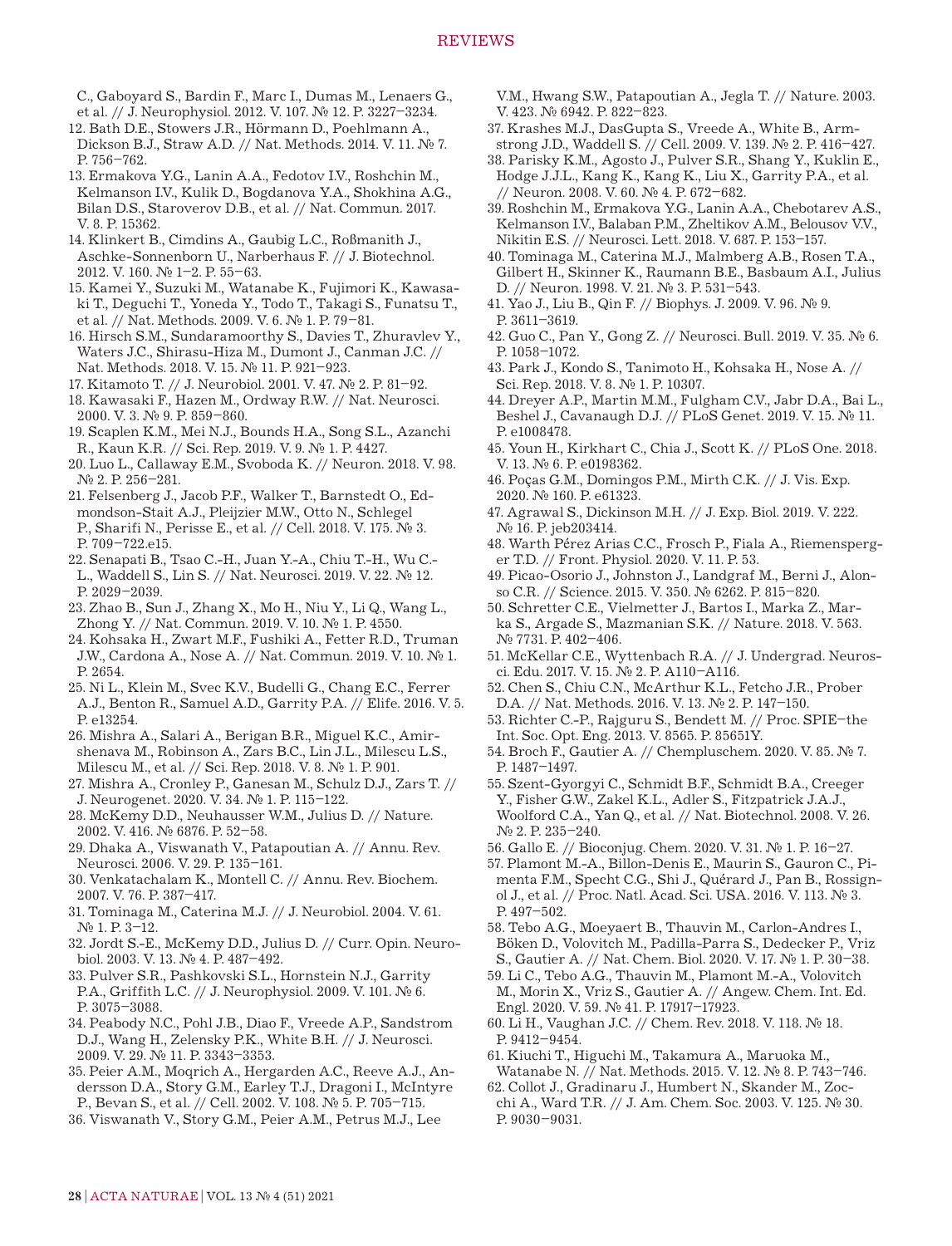- C., Gaboyard S., Bardin F., Marc I., Dumas M., Lenaers G., et al. // J. Neurophysiol. 2012. V. 107. № 12. P. 3227–3234.
- 12. Bath D.E., Stowers J.R., Hörmann D., Poehlmann A., Dickson B.J., Straw A.D. // Nat. Methods. 2014. V. 11. № 7. P. 756–762.
- 13. Ermakova Y.G., Lanin A.A., Fedotov I.V., Roshchin M., Kelmanson I.V., Kulik D., Bogdanova Y.A., Shokhina A.G., Bilan D.S., Staroverov D.B., et al. // Nat. Commun. 2017. V. 8. P. 15362.
- 14. Klinkert B., Cimdins A., Gaubig L.C., Roßmanith J., Aschke-Sonnenborn U., Narberhaus F. // J. Biotechnol. 2012. V. 160. № 1–2. P. 55–63.
- 15. Kamei Y., Suzuki M., Watanabe K., Fujimori K., Kawasaki T., Deguchi T., Yoneda Y., Todo T., Takagi S., Funatsu T., et al. // Nat. Methods. 2009. V. 6. № 1. P. 79–81.
- 16. Hirsch S.M., Sundaramoorthy S., Davies T., Zhuravlev Y., Waters J.C., Shirasu-Hiza M., Dumont J., Canman J.C. // Nat. Methods. 2018. V. 15. № 11. P. 921–923.
- 17. Kitamoto T. // J. Neurobiol. 2001. V. 47. № 2. P. 81–92.
- 18. Kawasaki F., Hazen M., Ordway R.W. // Nat. Neurosci. 2000. V. 3. № 9. P. 859–860.
- 19. Scaplen K.M., Mei N.J., Bounds H.A., Song S.L., Azanchi R., Kaun K.R. // Sci. Rep. 2019. V. 9. № 1. P. 4427.
- 20. Luo L., Callaway E.M., Svoboda K. // Neuron. 2018. V. 98. № 2. P. 256–281.
- 21. Felsenberg J., Jacob P.F., Walker T., Barnstedt O., Edmondson-Stait A.J., Pleijzier M.W., Otto N., Schlegel P., Sharifi N., Perisse E., et al. // Cell. 2018. V. 175. № 3. P. 709–722.e15.
- 22. Senapati B., Tsao C.-H., Juan Y.-A., Chiu T.-H., Wu C.- L., Waddell S., Lin S. // Nat. Neurosci. 2019. V. 22. № 12. P. 2029–2039.
- 23. Zhao B., Sun J., Zhang X., Mo H., Niu Y., Li Q., Wang L., Zhong Y. // Nat. Commun. 2019. V. 10. № 1. P. 4550.
- 24. Kohsaka H., Zwart M.F., Fushiki A., Fetter R.D., Truman J.W., Cardona A., Nose A. // Nat. Commun. 2019. V. 10. № 1. P. 2654.
- 25. Ni L., Klein M., Svec K.V., Budelli G., Chang E.C., Ferrer A.J., Benton R., Samuel A.D., Garrity P.A. // Elife. 2016. V. 5. P. e13254.
- 26. Mishra A., Salari A., Berigan B.R., Miguel K.C., Amirshenava M., Robinson A., Zars B.C., Lin J.L., Milescu L.S., Milescu M., et al. // Sci. Rep. 2018. V. 8. № 1. P. 901.
- 27. Mishra A., Cronley P., Ganesan M., Schulz D.J., Zars T. // J. Neurogenet. 2020. V. 34. № 1. P. 115–122.
- 28. McKemy D.D., Neuhausser W.M., Julius D. // Nature. 2002. V. 416. № 6876. P. 52–58.
- 29. Dhaka A., Viswanath V., Patapoutian A. // Annu. Rev. Neurosci. 2006. V. 29. P. 135–161.
- 30. Venkatachalam K., Montell C. // Annu. Rev. Biochem. 2007. V. 76. P. 387–417.
- 31. Tominaga M., Caterina M.J. // J. Neurobiol. 2004. V. 61. № 1. P. 3–12.
- 32. Jordt S.-E., McKemy D.D., Julius D. // Curr. Opin. Neurobiol. 2003. V. 13. № 4. P. 487–492.
- 33. Pulver S.R., Pashkovski S.L., Hornstein N.J., Garrity P.A., Griffith L.C. // J. Neurophysiol. 2009. V. 101. № 6. P. 3075–3088.
- 34. Peabody N.C., Pohl J.B., Diao F., Vreede A.P., Sandstrom D.J., Wang H., Zelensky P.K., White B.H. // J. Neurosci. 2009. V. 29. № 11. P. 3343–3353.
- 35. Peier A.M., Moqrich A., Hergarden A.C., Reeve A.J., Andersson D.A., Story G.M., Earley T.J., Dragoni I., McIntyre P., Bevan S., et al. // Cell. 2002. V. 108. № 5. P. 705–715.
- 36. Viswanath V., Story G.M., Peier A.M., Petrus M.J., Lee

V.M., Hwang S.W., Patapoutian A., Jegla T. // Nature. 2003. V. 423. № 6942. P. 822–823.

- 37. Krashes M.J., DasGupta S., Vreede A., White B., Armstrong J.D., Waddell S. // Cell. 2009. V. 139. № 2. P. 416–427.
- 38. Parisky K.M., Agosto J., Pulver S.R., Shang Y., Kuklin E., Hodge J.J.L., Kang K., Kang K., Liu X., Garrity P.A., et al. // Neuron. 2008. V. 60. № 4. P. 672–682.
- 39. Roshchin M., Ermakova Y.G., Lanin A.A., Chebotarev A.S., Kelmanson I.V., Balaban P.M., Zheltikov A.M., Belousov V.V., Nikitin E.S. // Neurosci. Lett. 2018. V. 687. P. 153–157.
- 40. Tominaga M., Caterina M.J., Malmberg A.B., Rosen T.A., Gilbert H., Skinner K., Raumann B.E., Basbaum A.I., Julius D. // Neuron. 1998. V. 21. № 3. P. 531-543.
- 41. Yao J., Liu B., Qin F. // Biophys. J. 2009. V. 96. № 9. P. 3611–3619.
- 42. Guo C., Pan Y., Gong Z. // Neurosci. Bull. 2019. V. 35. № 6. P. 1058–1072.
- 43. Park J., Kondo S., Tanimoto H., Kohsaka H., Nose A. // Sci. Rep. 2018. V. 8. № 1. P. 10307.
- 44. Dreyer A.P., Martin M.M., Fulgham C.V., Jabr D.A., Bai L., Beshel J., Cavanaugh D.J. // PLoS Genet. 2019. V. 15. № 11. P. e1008478.
- 45. Youn H., Kirkhart C., Chia J., Scott K. // PLoS One. 2018. V. 13. № 6. P. e0198362.
- 46. Poças G.M., Domingos P.M., Mirth C.K. // J. Vis. Exp. 2020. № 160. P. e61323.
- 47. Agrawal S., Dickinson M.H. // J. Exp. Biol. 2019. V. 222. № 16. P. jeb203414.
- 48. Warth Pérez Arias C.C., Frosch P., Fiala A., Riemensperger T.D. // Front. Physiol. 2020. V. 11. P. 53.
- 49. Picao-Osorio J., Johnston J., Landgraf M., Berni J., Alonso C.R. // Science. 2015. V. 350. № 6262. P. 815–820.
- 50. Schretter C.E., Vielmetter J., Bartos I., Marka Z., Marka S., Argade S., Mazmanian S.K. // Nature. 2018. V. 563. № 7731. P. 402–406.
- 51. McKellar C.E., Wyttenbach R.A. // J. Undergrad. Neurosci. Edu. 2017. V. 15. № 2. P. A110–A116.
- 52. Chen S., Chiu C.N., McArthur K.L., Fetcho J.R., Prober D.A. // Nat. Methods. 2016. V. 13. № 2. P. 147–150.
- 53. Richter C.-P., Rajguru S., Bendett M. // Proc. SPIE–the Int. Soc. Opt. Eng. 2013. V. 8565. P. 85651Y.
- 54. Broch F., Gautier A. // Chempluschem. 2020. V. 85. № 7. P. 1487–1497.
- 55. Szent-Gyorgyi C., Schmidt B.F., Schmidt B.A., Creeger Y., Fisher G.W., Zakel K.L., Adler S., Fitzpatrick J.A.J., Woolford C.A., Yan Q., et al. // Nat. Biotechnol. 2008. V. 26. № 2. P. 235–240.
- 56. Gallo E. // Bioconjug. Chem. 2020. V. 31. № 1. P. 16–27.
- 57. Plamont M.-A., Billon-Denis E., Maurin S., Gauron C., Pimenta F.M., Specht C.G., Shi J., Quérard J., Pan B., Rossignol J., et al. // Proc. Natl. Acad. Sci. USA. 2016. V. 113. № 3. P. 497–502.
- 58. Tebo A.G., Moeyaert B., Thauvin M., Carlon-Andres I., Böken D., Volovitch M., Padilla-Parra S., Dedecker P., Vriz S., Gautier A. // Nat. Chem. Biol. 2020. V. 17. № 1. P. 30–38.
- 59. Li C., Tebo A.G., Thauvin M., Plamont M.-A., Volovitch M., Morin X., Vriz S., Gautier A. // Angew. Chem. Int. Ed. Engl. 2020. V. 59. № 41. P. 17917–17923.
- 60. Li H., Vaughan J.C. // Chem. Rev. 2018. V. 118. № 18. P. 9412–9454.
- 61. Kiuchi T., Higuchi M., Takamura A., Maruoka M., Watanabe N. // Nat. Methods. 2015. V. 12. № 8. P. 743–746.
- 62. Collot J., Gradinaru J., Humbert N., Skander M., Zocchi A., Ward T.R. // J. Am. Chem. Soc. 2003. V. 125. № 30. P. 9030–9031.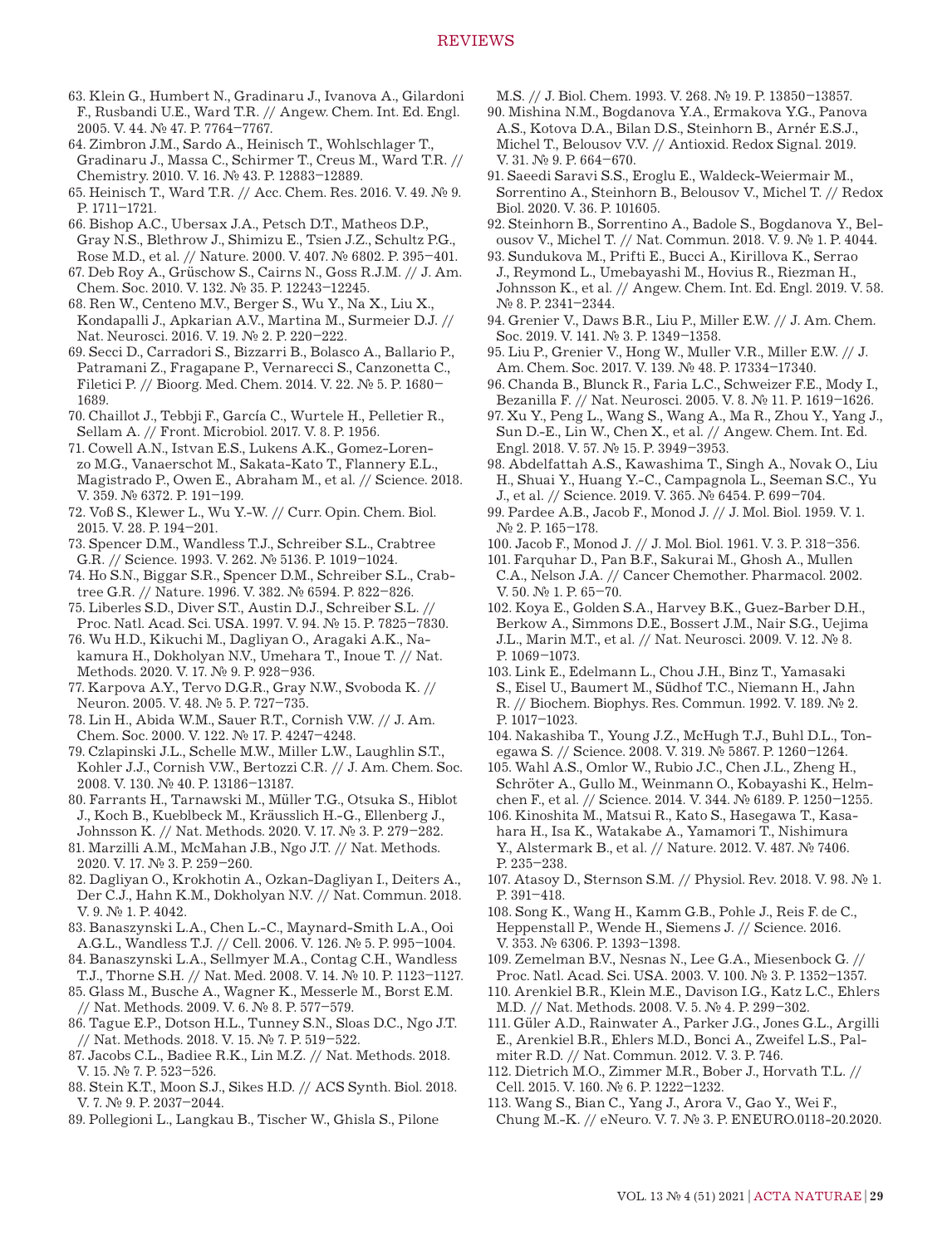63. Klein G., Humbert N., Gradinaru J., Ivanova A., Gilardoni F., Rusbandi U.E., Ward T.R. // Angew. Chem. Int. Ed. Engl. 2005. V. 44. № 47. P. 7764–7767.

64. Zimbron J.M., Sardo A., Heinisch T., Wohlschlager T., Gradinaru J., Massa C., Schirmer T., Creus M., Ward T.R. // Chemistry. 2010. V. 16. № 43. P. 12883–12889.

- 65. Heinisch T., Ward T.R. // Acc. Chem. Res. 2016. V. 49. № 9. P. 1711–1721.
- 66. Bishop A.C., Ubersax J.A., Petsch D.T., Matheos D.P., Gray N.S., Blethrow J., Shimizu E., Tsien J.Z., Schultz P.G., Rose M.D., et al. // Nature. 2000. V. 407. № 6802. P. 395–401.
- 67. Deb Roy A., Grüschow S., Cairns N., Goss R.J.M. // J. Am. Chem. Soc. 2010. V. 132. № 35. P. 12243–12245.
- 68. Ren W., Centeno M.V., Berger S., Wu Y., Na X., Liu X., Kondapalli J., Apkarian A.V., Martina M., Surmeier D.J. // Nat. Neurosci. 2016. V. 19. № 2. P. 220–222.
- 69. Secci D., Carradori S., Bizzarri B., Bolasco A., Ballario P., Patramani Z., Fragapane P., Vernarecci S., Canzonetta C., Filetici P. // Bioorg. Med. Chem. 2014. V. 22. № 5. P. 1680– 1689.
- 70. Chaillot J., Tebbji F., García C., Wurtele H., Pelletier R., Sellam A. // Front. Microbiol. 2017. V. 8. P. 1956.
- 71. Cowell A.N., Istvan E.S., Lukens A.K., Gomez-Lorenzo M.G., Vanaerschot M., Sakata-Kato T., Flannery E.L., Magistrado P., Owen E., Abraham M., et al. // Science. 2018. V. 359. № 6372. P. 191–199.
- 72. Voß S., Klewer L., Wu Y.-W. // Curr. Opin. Chem. Biol. 2015. V. 28. P. 194–201.
- 73. Spencer D.M., Wandless T.J., Schreiber S.L., Crabtree G.R. // Science. 1993. V. 262. № 5136. P. 1019–1024.
- 74. Ho S.N., Biggar S.R., Spencer D.M., Schreiber S.L., Crabtree G.R. // Nature. 1996. V. 382. № 6594. P. 822–826.
- 75. Liberles S.D., Diver S.T., Austin D.J., Schreiber S.L. //
- Proc. Natl. Acad. Sci. USA. 1997. V. 94. № 15. P. 7825–7830. 76. Wu H.D., Kikuchi M., Dagliyan O., Aragaki A.K., Nakamura H., Dokholyan N.V., Umehara T., Inoue T. // Nat. Methods. 2020. V. 17. № 9. P. 928–936.
- 77. Karpova A.Y., Tervo D.G.R., Gray N.W., Svoboda K. // Neuron. 2005. V. 48. № 5. P. 727–735.
- 78. Lin H., Abida W.M., Sauer R.T., Cornish V.W. // J. Am. Chem. Soc. 2000. V. 122. № 17. P. 4247–4248.
- 79. Czlapinski J.L., Schelle M.W., Miller L.W., Laughlin S.T., Kohler J.J., Cornish V.W., Bertozzi C.R. // J. Am. Chem. Soc. 2008. V. 130. № 40. P. 13186–13187.
- 80. Farrants H., Tarnawski M., Müller T.G., Otsuka S., Hiblot J., Koch B., Kueblbeck M., Kräusslich H.-G., Ellenberg J., Johnsson K. // Nat. Methods. 2020. V. 17. № 3. P. 279–282.
- 81. Marzilli A.M., McMahan J.B., Ngo J.T. // Nat. Methods. 2020. V. 17. № 3. P. 259–260.
- 82. Dagliyan O., Krokhotin A., Ozkan-Dagliyan I., Deiters A., Der C.J., Hahn K.M., Dokholyan N.V. // Nat. Commun. 2018. V. 9. № 1. P. 4042.
- 83. Banaszynski L.A., Chen L.-C., Maynard-Smith L.A., Ooi A.G.L., Wandless T.J. // Cell. 2006. V. 126. № 5. P. 995–1004.
- 84. Banaszynski L.A., Sellmyer M.A., Contag C.H., Wandless T.J., Thorne S.H. // Nat. Med. 2008. V. 14. № 10. P. 1123–1127.
- 85. Glass M., Busche A., Wagner K., Messerle M., Borst E.M. // Nat. Methods. 2009. V. 6. № 8. P. 577–579.
- 86. Tague E.P., Dotson H.L., Tunney S.N., Sloas D.C., Ngo J.T. // Nat. Methods. 2018. V. 15. № 7. P. 519–522.
- 87. Jacobs C.L., Badiee R.K., Lin M.Z. // Nat. Methods. 2018. V. 15. № 7. P. 523–526.
- 88. Stein K.T., Moon S.J., Sikes H.D. // ACS Synth. Biol. 2018. V. 7. № 9. P. 2037–2044.
- 89. Pollegioni L., Langkau B., Tischer W., Ghisla S., Pilone

M.S. // J. Biol. Chem. 1993. V. 268. № 19. P. 13850–13857.

- 90. Mishina N.M., Bogdanova Y.A., Ermakova Y.G., Panova A.S., Kotova D.A., Bilan D.S., Steinhorn B., Arnér E.S.J., Michel T., Belousov V.V. // Antioxid. Redox Signal. 2019. V. 31. № 9. P. 664–670.
- 91. Saeedi Saravi S.S., Eroglu E., Waldeck-Weiermair M., Sorrentino A., Steinhorn B., Belousov V., Michel T. // Redox Biol. 2020. V. 36. P. 101605.
- 92. Steinhorn B., Sorrentino A., Badole S., Bogdanova Y., Belousov V., Michel T. // Nat. Commun. 2018. V. 9. № 1. P. 4044.
- 93. Sundukova M., Prifti E., Bucci A., Kirillova K., Serrao J., Reymond L., Umebayashi M., Hovius R., Riezman H., Johnsson K., et al. // Angew. Chem. Int. Ed. Engl. 2019. V. 58. № 8. P. 2341–2344.
- 94. Grenier V., Daws B.R., Liu P., Miller E.W. // J. Am. Chem. Soc. 2019. V. 141. № 3. P. 1349–1358.
- 95. Liu P., Grenier V., Hong W., Muller V.R., Miller E.W. // J. Am. Chem. Soc. 2017. V. 139. № 48. P. 17334–17340.
- 96. Chanda B., Blunck R., Faria L.C., Schweizer F.E., Mody I., Bezanilla F. // Nat. Neurosci. 2005. V. 8. № 11. P. 1619–1626.
- 97. Xu Y., Peng L., Wang S., Wang A., Ma R., Zhou Y., Yang J., Sun D.-E., Lin W., Chen X., et al. // Angew. Chem. Int. Ed. Engl. 2018. V. 57. № 15. P. 3949–3953.
- 98. Abdelfattah A.S., Kawashima T., Singh A., Novak O., Liu H., Shuai Y., Huang Y.-C., Campagnola L., Seeman S.C., Yu J., et al. // Science. 2019. V. 365. № 6454. P. 699–704.
- 99. Pardee A.B., Jacob F., Monod J. // J. Mol. Biol. 1959. V. 1. № 2. P. 165–178.
- 100. Jacob F., Monod J. // J. Mol. Biol. 1961. V. 3. P. 318–356.
- 101. Farquhar D., Pan B.F., Sakurai M., Ghosh A., Mullen C.A., Nelson J.A. // Cancer Chemother. Pharmacol. 2002. V. 50. № 1. P. 65–70.
- 102. Koya E., Golden S.A., Harvey B.K., Guez-Barber D.H., Berkow A., Simmons D.E., Bossert J.M., Nair S.G., Uejima J.L., Marin M.T., et al. // Nat. Neurosci. 2009. V. 12. № 8. P. 1069–1073.
- 103. Link E., Edelmann L., Chou J.H., Binz T., Yamasaki S., Eisel U., Baumert M., Südhof T.C., Niemann H., Jahn R. // Biochem. Biophys. Res. Commun. 1992. V. 189. № 2. P. 1017–1023.
- 104. Nakashiba T., Young J.Z., McHugh T.J., Buhl D.L., Tonegawa S. // Science. 2008. V. 319. № 5867. P. 1260–1264.
- 105. Wahl A.S., Omlor W., Rubio J.C., Chen J.L., Zheng H., Schröter A., Gullo M., Weinmann O., Kobayashi K., Helmchen F., et al. // Science. 2014. V. 344. № 6189. P. 1250–1255.
- 106. Kinoshita M., Matsui R., Kato S., Hasegawa T., Kasahara H., Isa K., Watakabe A., Yamamori T., Nishimura Y., Alstermark B., et al. // Nature. 2012. V. 487. № 7406. P. 235–238.
- 107. Atasoy D., Sternson S.M. // Physiol. Rev. 2018. V. 98. № 1. P. 391–418.
- 108. Song K., Wang H., Kamm G.B., Pohle J., Reis F. de C., Heppenstall P., Wende H., Siemens J. // Science. 2016. V. 353. № 6306. P. 1393–1398.
- 109. Zemelman B.V., Nesnas N., Lee G.A., Miesenbock G. // Proc. Natl. Acad. Sci. USA. 2003. V. 100. № 3. P. 1352–1357.
- 110. Arenkiel B.R., Klein M.E., Davison I.G., Katz L.C., Ehlers M.D. // Nat. Methods. 2008. V. 5. № 4. P. 299–302.
- 111. Güler A.D., Rainwater A., Parker J.G., Jones G.L., Argilli E., Arenkiel B.R., Ehlers M.D., Bonci A., Zweifel L.S., Palmiter R.D. // Nat. Commun. 2012. V. 3. P. 746.
- 112. Dietrich M.O., Zimmer M.R., Bober J., Horvath T.L. // Cell. 2015. V. 160. № 6. P. 1222–1232.
- 113. Wang S., Bian C., Yang J., Arora V., Gao Y., Wei F., Chung M.-K. // eNeuro. V. 7. № 3. P. ENEURO.0118-20.2020.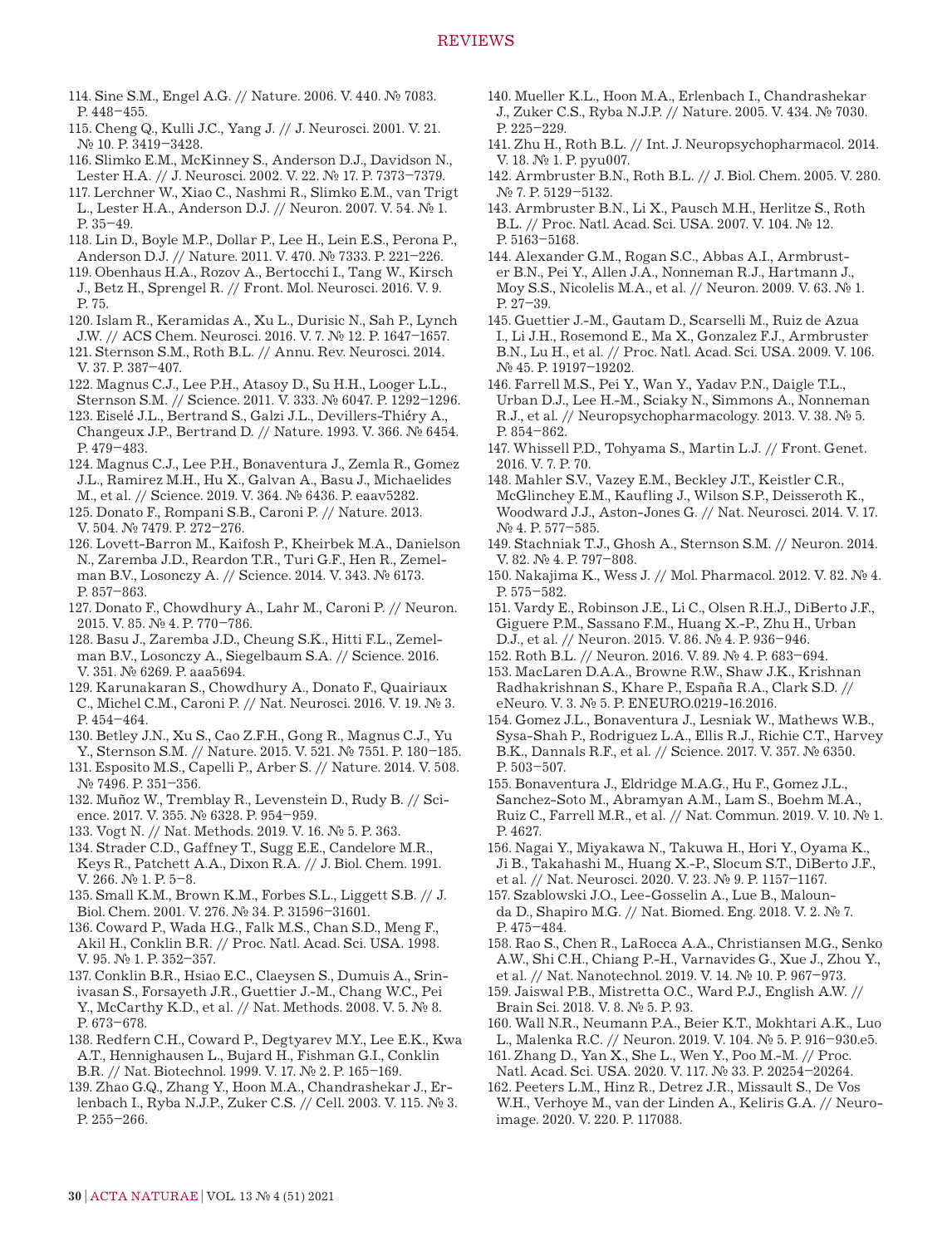- 114. Sine S.M., Engel A.G. // Nature. 2006. V. 440. № 7083. P. 448–455.
- 115. Cheng Q., Kulli J.C., Yang J. // J. Neurosci. 2001. V. 21. № 10. P. 3419–3428.
- 116. Slimko E.M., McKinney S., Anderson D.J., Davidson N., Lester H.A. // J. Neurosci. 2002. V. 22. № 17. P. 7373–7379.
- 117. Lerchner W., Xiao C., Nashmi R., Slimko E.M., van Trigt L., Lester H.A., Anderson D.J. // Neuron. 2007. V. 54. № 1. P. 35–49.
- 118. Lin D., Boyle M.P., Dollar P., Lee H., Lein E.S., Perona P., Anderson D.J. // Nature. 2011. V. 470. № 7333. P. 221–226.
- 119. Obenhaus H.A., Rozov A., Bertocchi I., Tang W., Kirsch J., Betz H., Sprengel R. // Front. Mol. Neurosci. 2016. V. 9. P. 75.
- 120. Islam R., Keramidas A., Xu L., Durisic N., Sah P., Lynch J.W. // ACS Chem. Neurosci. 2016. V. 7. № 12. P. 1647–1657.
- 121. Sternson S.M., Roth B.L. // Annu. Rev. Neurosci. 2014. V. 37. P. 387–407.
- 122. Magnus C.J., Lee P.H., Atasoy D., Su H.H., Looger L.L., Sternson S.M. // Science. 2011. V. 333. № 6047. P. 1292–1296.
- 123. Eiselé J.L., Bertrand S., Galzi J.L., Devillers-Thiéry A., Changeux J.P., Bertrand D. // Nature. 1993. V. 366. № 6454. P. 479–483.
- 124. Magnus C.J., Lee P.H., Bonaventura J., Zemla R., Gomez J.L., Ramirez M.H., Hu X., Galvan A., Basu J., Michaelides
- M., et al. // Science. 2019. V. 364. № 6436. P. eaav5282. 125. Donato F., Rompani S.B., Caroni P. // Nature. 2013.
- V. 504. № 7479. P. 272–276.
- 126. Lovett-Barron M., Kaifosh P., Kheirbek M.A., Danielson N., Zaremba J.D., Reardon T.R., Turi G.F., Hen R., Zemelman B.V., Losonczy A. // Science. 2014. V. 343. № 6173. P. 857–863.
- 127. Donato F., Chowdhury A., Lahr M., Caroni P. // Neuron. 2015. V. 85. № 4. P. 770–786.
- 128. Basu J., Zaremba J.D., Cheung S.K., Hitti F.L., Zemelman B.V., Losonczy A., Siegelbaum S.A. // Science. 2016. V. 351. № 6269. P. aaa5694.
- 129. Karunakaran S., Chowdhury A., Donato F., Quairiaux C., Michel C.M., Caroni P. // Nat. Neurosci. 2016. V. 19. № 3. P. 454–464.
- 130. Betley J.N., Xu S., Cao Z.F.H., Gong R., Magnus C.J., Yu Y., Sternson S.M. // Nature. 2015. V. 521. № 7551. P. 180–185.
- 131. Esposito M.S., Capelli P., Arber S. // Nature. 2014. V. 508. № 7496. P. 351–356.
- 132. Muñoz W., Tremblay R., Levenstein D., Rudy B. // Science. 2017. V. 355. № 6328. P. 954–959.
- 133. Vogt N. // Nat. Methods. 2019. V. 16. № 5. P. 363.
- 134. Strader C.D., Gaffney T., Sugg E.E., Candelore M.R., Keys R., Patchett A.A., Dixon R.A. // J. Biol. Chem. 1991. V. 266. № 1. P. 5–8.
- 135. Small K.M., Brown K.M., Forbes S.L., Liggett S.B. // J. Biol. Chem. 2001. V. 276. № 34. P. 31596–31601.
- 136. Coward P., Wada H.G., Falk M.S., Chan S.D., Meng F., Akil H., Conklin B.R. // Proc. Natl. Acad. Sci. USA. 1998. V. 95. № 1. P. 352–357.
- 137. Conklin B.R., Hsiao E.C., Claeysen S., Dumuis A., Srinivasan S., Forsayeth J.R., Guettier J.-M., Chang W.C., Pei Y., McCarthy K.D., et al. // Nat. Methods. 2008. V. 5. № 8. P. 673–678.
- 138. Redfern C.H., Coward P., Degtyarev M.Y., Lee E.K., Kwa A.T., Hennighausen L., Bujard H., Fishman G.I., Conklin B.R. // Nat. Biotechnol. 1999. V. 17. № 2. P. 165–169.
- 139. Zhao G.Q., Zhang Y., Hoon M.A., Chandrashekar J., Erlenbach I., Ryba N.J.P., Zuker C.S. // Cell. 2003. V. 115. № 3. P. 255–266.
- 140. Mueller K.L., Hoon M.A., Erlenbach I., Chandrashekar J., Zuker C.S., Ryba N.J.P. // Nature. 2005. V. 434. № 7030.  $P. 225 - 229$
- 141. Zhu H., Roth B.L. // Int. J. Neuropsychopharmacol. 2014. V. 18. № 1. P. pyu007.
- 142. Armbruster B.N., Roth B.L. // J. Biol. Chem. 2005. V. 280. № 7. P. 5129–5132.
- 143. Armbruster B.N., Li X., Pausch M.H., Herlitze S., Roth B.L. // Proc. Natl. Acad. Sci. USA. 2007. V. 104. № 12. P. 5163–5168.
- 144. Alexander G.M., Rogan S.C., Abbas A.I., Armbruster B.N., Pei Y., Allen J.A., Nonneman R.J., Hartmann J., Moy S.S., Nicolelis M.A., et al. // Neuron. 2009. V. 63. № 1. P. 27–39.
- 145. Guettier J.-M., Gautam D., Scarselli M., Ruiz de Azua I., Li J.H., Rosemond E., Ma X., Gonzalez F.J., Armbruster B.N., Lu H., et al. // Proc. Natl. Acad. Sci. USA. 2009. V. 106. № 45. P. 19197–19202.
- 146. Farrell M.S., Pei Y., Wan Y., Yadav P.N., Daigle T.L., Urban D.J., Lee H.-M., Sciaky N., Simmons A., Nonneman R.J., et al. // Neuropsychopharmacology. 2013. V. 38. № 5. P. 854–862.
- 147. Whissell P.D., Tohyama S., Martin L.J. // Front. Genet. 2016. V. 7. P. 70.
- 148. Mahler S.V., Vazey E.M., Beckley J.T., Keistler C.R., McGlinchey E.M., Kaufling J., Wilson S.P., Deisseroth K., Woodward J.J., Aston-Jones G. // Nat. Neurosci. 2014. V. 17. № 4. P. 577–585.
- 149. Stachniak T.J., Ghosh A., Sternson S.M. // Neuron. 2014. V. 82. № 4. P. 797–808.
- 150. Nakajima K., Wess J. // Mol. Pharmacol. 2012. V. 82. № 4. P. 575–582.
- 151. Vardy E., Robinson J.E., Li C., Olsen R.H.J., DiBerto J.F., Giguere P.M., Sassano F.M., Huang X.-P., Zhu H., Urban D.J., et al. // Neuron. 2015. V. 86. № 4. P. 936–946.
- 152. Roth B.L. // Neuron. 2016. V. 89. № 4. P. 683–694.
- 153. MacLaren D.A.A., Browne R.W., Shaw J.K., Krishnan Radhakrishnan S., Khare P., España R.A., Clark S.D. // eNeuro. V. 3. № 5. P. ENEURO.0219-16.2016.
- 154. Gomez J.L., Bonaventura J., Lesniak W., Mathews W.B., Sysa-Shah P., Rodriguez L.A., Ellis R.J., Richie C.T., Harvey B.K., Dannals R.F., et al. // Science. 2017. V. 357. № 6350. P. 503–507.
- 155. Bonaventura J., Eldridge M.A.G., Hu F., Gomez J.L., Sanchez-Soto M., Abramyan A.M., Lam S., Boehm M.A., Ruiz C., Farrell M.R., et al. // Nat. Commun. 2019. V. 10. № 1. P. 4627.
- 156. Nagai Y., Miyakawa N., Takuwa H., Hori Y., Oyama K., Ji B., Takahashi M., Huang X.-P., Slocum S.T., DiBerto J.F., et al. // Nat. Neurosci. 2020. V. 23. № 9. P. 1157–1167.
- 157. Szablowski J.O., Lee-Gosselin A., Lue B., Malounda D., Shapiro M.G. // Nat. Biomed. Eng. 2018. V. 2. № 7. P. 475–484.
- 158. Rao S., Chen R., LaRocca A.A., Christiansen M.G., Senko A.W., Shi C.H., Chiang P.-H., Varnavides G., Xue J., Zhou Y., et al. // Nat. Nanotechnol. 2019. V. 14. № 10. P. 967–973.
- 159. Jaiswal P.B., Mistretta O.C., Ward P.J., English A.W. // Brain Sci. 2018. V. 8. № 5. P. 93.
- 160. Wall N.R., Neumann P.A., Beier K.T., Mokhtari A.K., Luo
- L., Malenka R.C. // Neuron. 2019. V. 104. № 5. P. 916–930.e5.
- 161. Zhang D., Yan X., She L., Wen Y., Poo M.-M. // Proc. Natl. Acad. Sci. USA. 2020. V. 117. № 33. P. 20254–20264.
- 162. Peeters L.M., Hinz R., Detrez J.R., Missault S., De Vos W.H., Verhoye M., van der Linden A., Keliris G.A. // Neuroimage. 2020. V. 220. P. 117088.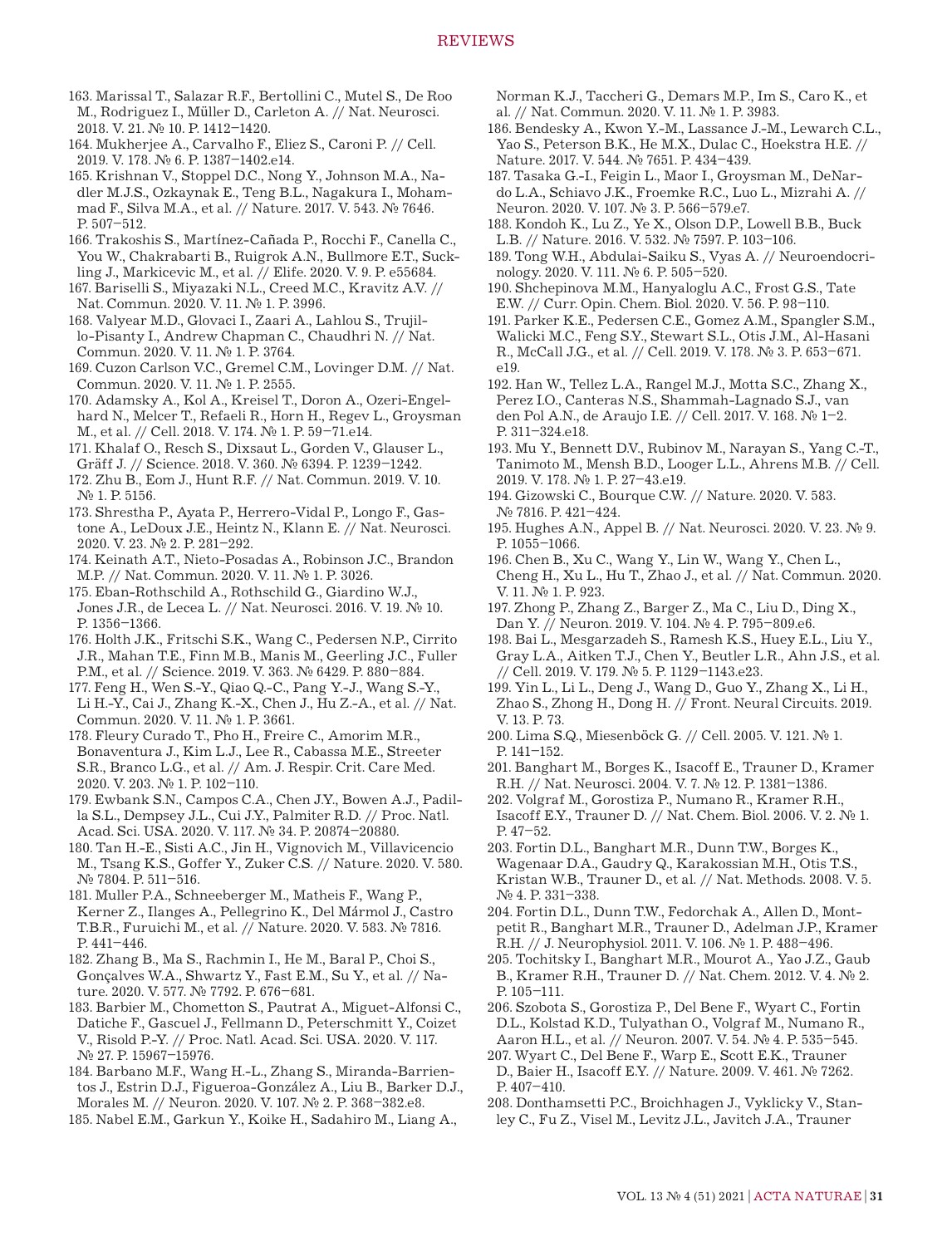- 163. Marissal T., Salazar R.F., Bertollini C., Mutel S., De Roo M., Rodriguez I., Müller D., Carleton A. // Nat. Neurosci. 2018. V. 21. № 10. P. 1412–1420.
- 164. Mukherjee A., Carvalho F., Eliez S., Caroni P. // Cell. 2019. V. 178. № 6. P. 1387–1402.e14.
- 165. Krishnan V., Stoppel D.C., Nong Y., Johnson M.A., Nadler M.J.S., Ozkaynak E., Teng B.L., Nagakura I., Mohammad F., Silva M.A., et al. // Nature. 2017. V. 543. № 7646. P. 507–512.
- 166. Trakoshis S., Martínez-Cañada P., Rocchi F., Canella C., You W., Chakrabarti B., Ruigrok A.N., Bullmore E.T., Suckling J., Markicevic M., et al. // Elife. 2020. V. 9. P. e55684.
- 167. Bariselli S., Miyazaki N.L., Creed M.C., Kravitz A.V. // Nat. Commun. 2020. V. 11. № 1. P. 3996.
- 168. Valyear M.D., Glovaci I., Zaari A., Lahlou S., Trujillo-Pisanty I., Andrew Chapman C., Chaudhri N. // Nat. Commun. 2020. V. 11. № 1. P. 3764.
- 169. Cuzon Carlson V.C., Gremel C.M., Lovinger D.M. // Nat. Commun. 2020. V. 11. № 1. P. 2555.
- 170. Adamsky A., Kol A., Kreisel T., Doron A., Ozeri-Engelhard N., Melcer T., Refaeli R., Horn H., Regev L., Groysman M., et al. // Cell. 2018. V. 174. № 1. P. 59–71.e14.
- 171. Khalaf O., Resch S., Dixsaut L., Gorden V., Glauser L., Gräff J. // Science. 2018. V. 360. № 6394. P. 1239–1242.
- 172. Zhu B., Eom J., Hunt R.F. // Nat. Commun. 2019. V. 10. № 1. P. 5156.
- 173. Shrestha P., Ayata P., Herrero-Vidal P., Longo F., Gastone A., LeDoux J.E., Heintz N., Klann E. // Nat. Neurosci. 2020. V. 23. № 2. P. 281–292.
- 174. Keinath A.T., Nieto-Posadas A., Robinson J.C., Brandon M.P. // Nat. Commun. 2020. V. 11. № 1. P. 3026.
- 175. Eban-Rothschild A., Rothschild G., Giardino W.J., Jones J.R., de Lecea L. // Nat. Neurosci. 2016. V. 19. № 10. P. 1356–1366.
- 176. Holth J.K., Fritschi S.K., Wang C., Pedersen N.P., Cirrito J.R., Mahan T.E., Finn M.B., Manis M., Geerling J.C., Fuller P.M., et al. // Science. 2019. V. 363. № 6429. P. 880–884.
- 177. Feng H., Wen S.-Y., Qiao Q.-C., Pang Y.-J., Wang S.-Y., Li H.-Y., Cai J., Zhang K.-X., Chen J., Hu Z.-A., et al. // Nat. Commun. 2020. V. 11. № 1. P. 3661.
- 178. Fleury Curado T., Pho H., Freire C., Amorim M.R., Bonaventura J., Kim L.J., Lee R., Cabassa M.E., Streeter S.R., Branco L.G., et al. // Am. J. Respir. Crit. Care Med. 2020. V. 203. № 1. P. 102–110.
- 179. Ewbank S.N., Campos C.A., Chen J.Y., Bowen A.J., Padilla S.L., Dempsey J.L., Cui J.Y., Palmiter R.D. // Proc. Natl. Acad. Sci. USA. 2020. V. 117. № 34. P. 20874–20880.
- 180. Tan H.-E., Sisti A.C., Jin H., Vignovich M., Villavicencio M., Tsang K.S., Goffer Y., Zuker C.S. // Nature. 2020. V. 580. № 7804. P. 511–516.
- 181. Muller P.A., Schneeberger M., Matheis F., Wang P., Kerner Z., Ilanges A., Pellegrino K., Del Mármol J., Castro T.B.R., Furuichi M., et al. // Nature. 2020. V. 583. № 7816. P. 441–446.
- 182. Zhang B., Ma S., Rachmin I., He M., Baral P., Choi S., Gonçalves W.A., Shwartz Y., Fast E.M., Su Y., et al. // Nature. 2020. V. 577. № 7792. P. 676–681.
- 183. Barbier M., Chometton S., Pautrat A., Miguet-Alfonsi C., Datiche F., Gascuel J., Fellmann D., Peterschmitt Y., Coizet V., Risold P.-Y. // Proc. Natl. Acad. Sci. USA. 2020. V. 117. № 27. P. 15967–15976.
- 184. Barbano M.F., Wang H.-L., Zhang S., Miranda-Barrientos J., Estrin D.J., Figueroa-González A., Liu B., Barker D.J., Morales M. // Neuron. 2020. V. 107. № 2. P. 368–382.e8.
- 185. Nabel E.M., Garkun Y., Koike H., Sadahiro M., Liang A.,

Norman K.J., Taccheri G., Demars M.P., Im S., Caro K., et al. // Nat. Commun. 2020. V. 11. № 1. P. 3983.

- 186. Bendesky A., Kwon Y.-M., Lassance J.-M., Lewarch C.L., Yao S., Peterson B.K., He M.X., Dulac C., Hoekstra H.E. // Nature. 2017. V. 544. № 7651. P. 434–439.
- 187. Tasaka G.-I., Feigin L., Maor I., Groysman M., DeNardo L.A., Schiavo J.K., Froemke R.C., Luo L., Mizrahi A. // Neuron. 2020. V. 107. № 3. P. 566–579.e7.
- 188. Kondoh K., Lu Z., Ye X., Olson D.P., Lowell B.B., Buck L.B. // Nature. 2016. V. 532. № 7597. P. 103–106.
- 189. Tong W.H., Abdulai-Saiku S., Vyas A. // Neuroendocrinology. 2020. V. 111. № 6. P. 505–520.
- 190. Shchepinova M.M., Hanyaloglu A.C., Frost G.S., Tate E.W. // Curr. Opin. Chem. Biol. 2020. V. 56. P. 98–110.
- 191. Parker K.E., Pedersen C.E., Gomez A.M., Spangler S.M., Walicki M.C., Feng S.Y., Stewart S.L., Otis J.M., Al-Hasani R., McCall J.G., et al. // Cell. 2019. V. 178. № 3. P. 653–671. e19.
- 192. Han W., Tellez L.A., Rangel M.J., Motta S.C., Zhang X., Perez I.O., Canteras N.S., Shammah-Lagnado S.J., van den Pol A.N., de Araujo I.E. // Cell. 2017. V. 168. № 1–2. P. 311–324.e18.
- 193. Mu Y., Bennett D.V., Rubinov M., Narayan S., Yang C.-T., Tanimoto M., Mensh B.D., Looger L.L., Ahrens M.B. // Cell. 2019. V. 178. № 1. P. 27–43.e19.
- 194. Gizowski C., Bourque C.W. // Nature. 2020. V. 583. № 7816. P. 421–424.
- 195. Hughes A.N., Appel B. // Nat. Neurosci. 2020. V. 23. № 9. P. 1055–1066.
- 196. Chen B., Xu C., Wang Y., Lin W., Wang Y., Chen L.,
- Cheng H., Xu L., Hu T., Zhao J., et al. // Nat. Commun. 2020. V. 11. № 1. P. 923.
- 197. Zhong P., Zhang Z., Barger Z., Ma C., Liu D., Ding X., Dan Y. // Neuron. 2019. V. 104. № 4. P. 795–809.e6.
- 198. Bai L., Mesgarzadeh S., Ramesh K.S., Huey E.L., Liu Y., Gray L.A., Aitken T.J., Chen Y., Beutler L.R., Ahn J.S., et al. // Cell. 2019. V. 179. № 5. P. 1129–1143.e23.
- 199. Yin L., Li L., Deng J., Wang D., Guo Y., Zhang X., Li H., Zhao S., Zhong H., Dong H. // Front. Neural Circuits. 2019. V. 13. P. 73.
- 200. Lima S.Q., Miesenböck G. // Cell. 2005. V. 121. № 1. P. 141–152.
- 201. Banghart M., Borges K., Isacoff E., Trauner D., Kramer R.H. // Nat. Neurosci. 2004. V. 7. № 12. P. 1381–1386.
- 202. Volgraf M., Gorostiza P., Numano R., Kramer R.H., Isacoff E.Y., Trauner D. // Nat. Chem. Biol. 2006. V. 2. № 1. P. 47–52.
- 203. Fortin D.L., Banghart M.R., Dunn T.W., Borges K., Wagenaar D.A., Gaudry Q., Karakossian M.H., Otis T.S., Kristan W.B., Trauner D., et al. // Nat. Methods. 2008. V. 5. № 4. P. 331–338.
- 204. Fortin D.L., Dunn T.W., Fedorchak A., Allen D., Montpetit R., Banghart M.R., Trauner D., Adelman J.P., Kramer R.H. // J. Neurophysiol. 2011. V. 106. № 1. P. 488–496.
- 205. Tochitsky I., Banghart M.R., Mourot A., Yao J.Z., Gaub B., Kramer R.H., Trauner D. // Nat. Chem. 2012. V. 4. № 2. P. 105–111.
- 206. Szobota S., Gorostiza P., Del Bene F., Wyart C., Fortin D.L., Kolstad K.D., Tulyathan O., Volgraf M., Numano R., Aaron H.L., et al. // Neuron. 2007. V. 54. № 4. P. 535–545.
- 207. Wyart C., Del Bene F., Warp E., Scott E.K., Trauner D., Baier H., Isacoff E.Y. // Nature. 2009. V. 461. № 7262. P. 407–410.
- 208. Donthamsetti P.C., Broichhagen J., Vyklicky V., Stanley C., Fu Z., Visel M., Levitz J.L., Javitch J.A., Trauner